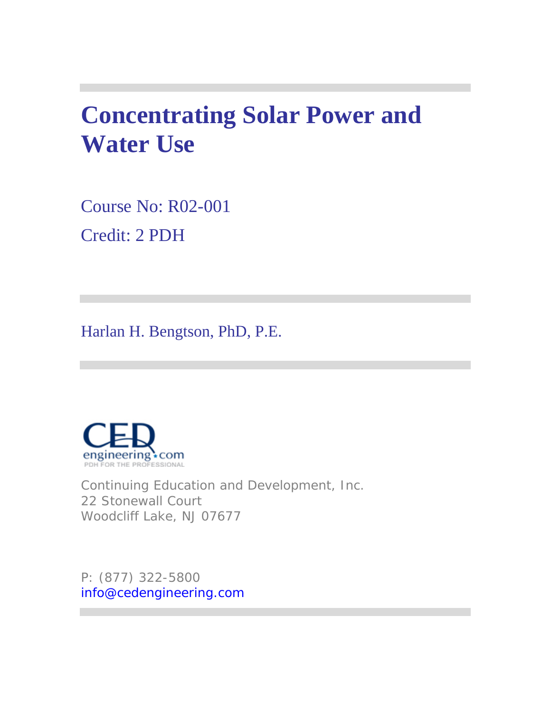# **Concentrating Solar Power and Water Use**

Course No: R02-001 Credit: 2 PDH

Harlan H. Bengtson, PhD, P.E.



Continuing Education and Development, Inc. 22 Stonewall Court Woodcliff Lake, NJ 07677

P: (877) 322-5800 info@cedengineering.com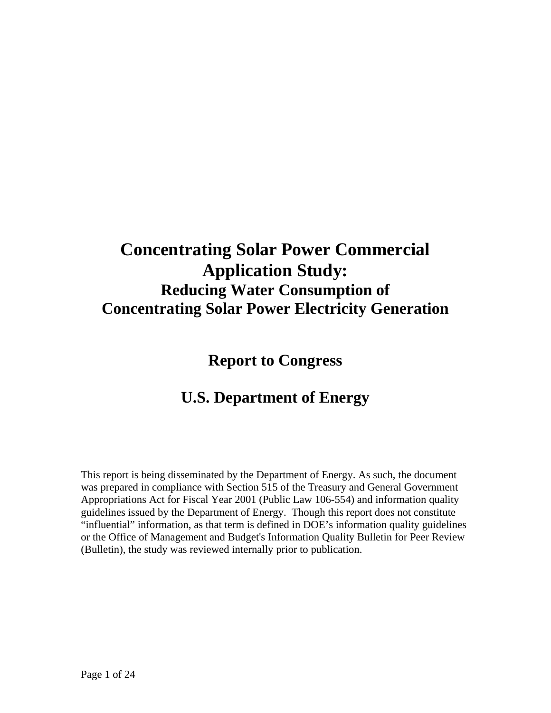## **Concentrating Solar Power Commercial Application Study: Reducing Water Consumption of Concentrating Solar Power Electricity Generation**

**Report to Congress** 

## **U.S. Department of Energy**

This report is being disseminated by the Department of Energy. As such, the document was prepared in compliance with Section 515 of the Treasury and General Government Appropriations Act for Fiscal Year 2001 (Public Law 106-554) and information quality guidelines issued by the Department of Energy. Though this report does not constitute "influential" information, as that term is defined in DOE's information quality guidelines or the Office of Management and Budget's Information Quality Bulletin for Peer Review (Bulletin), the study was reviewed internally prior to publication.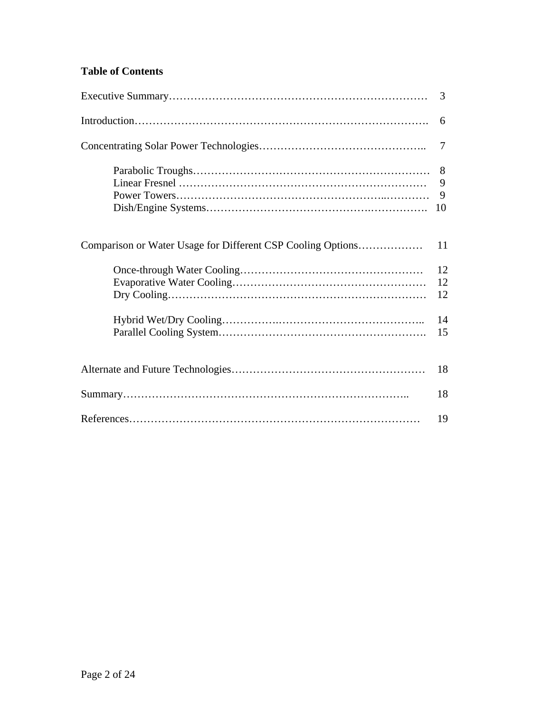## **Table of Contents**

|                                                             | 3                 |
|-------------------------------------------------------------|-------------------|
|                                                             | 6                 |
|                                                             | 7                 |
|                                                             | 8<br>9<br>9<br>10 |
| Comparison or Water Usage for Different CSP Cooling Options | 11                |
|                                                             | 12<br>12<br>12    |
|                                                             | 14<br>15          |
|                                                             | 18                |
|                                                             | 18                |
|                                                             | 19                |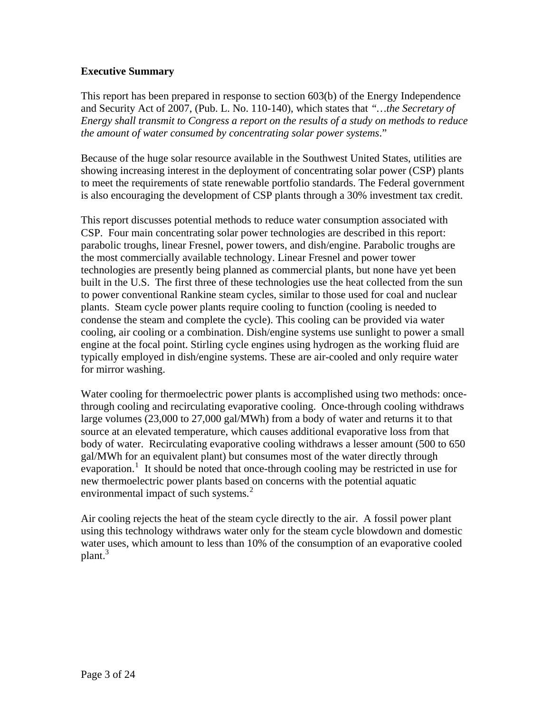## **Executive Summary**

This report has been prepared in response to section 603(b) of the Energy Independence and Security Act of 2007, (Pub. L. No. 110-140), which states that *"…the Secretary of Energy shall transmit to Congress a report on the results of a study on methods to reduce the amount of water consumed by concentrating solar power systems*."

Because of the huge solar resource available in the Southwest United States, utilities are showing increasing interest in the deployment of concentrating solar power (CSP) plants to meet the requirements of state renewable portfolio standards. The Federal government is also encouraging the development of CSP plants through a 30% investment tax credit.

This report discusses potential methods to reduce water consumption associated with CSP. Four main concentrating solar power technologies are described in this report: parabolic troughs, linear Fresnel, power towers, and dish/engine. Parabolic troughs are the most commercially available technology. Linear Fresnel and power tower technologies are presently being planned as commercial plants, but none have yet been built in the U.S. The first three of these technologies use the heat collected from the sun to power conventional Rankine steam cycles, similar to those used for coal and nuclear plants. Steam cycle power plants require cooling to function (cooling is needed to condense the steam and complete the cycle). This cooling can be provided via water cooling, air cooling or a combination. Dish/engine systems use sunlight to power a small engine at the focal point. Stirling cycle engines using hydrogen as the working fluid are typically employed in dish/engine systems. These are air-cooled and only require water for mirror washing.

Water cooling for thermoelectric power plants is accomplished using two methods: oncethrough cooling and recirculating evaporative cooling. Once-through cooling withdraws large volumes (23,000 to 27,000 gal/MWh) from a body of water and returns it to that source at an elevated temperature, which causes additional evaporative loss from that body of water. Recirculating evaporative cooling withdraws a lesser amount (500 to 650 gal/MWh for an equivalent plant) but consumes most of the water directly through evaporation.<sup>[1](#page-24-0)</sup> It should be noted that once-through cooling may be restricted in use for new thermoelectric power plants based on concerns with the potential aquatic environmental impact of such systems.<sup>[2](#page-24-1)</sup>

Air cooling rejects the heat of the steam cycle directly to the air. A fossil power plant using this technology withdraws water only for the steam cycle blowdown and domestic water uses, which amount to less than 10% of the consumption of an evaporative cooled  $plan<sup>3</sup>$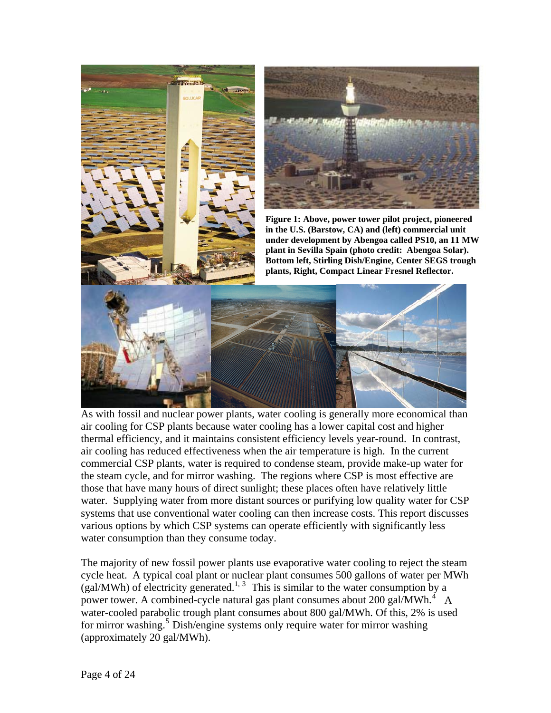

As with fossil and nuclear power plants, water cooling is generally more economical than air cooling for CSP plants because water cooling has a lower capital cost and higher thermal efficiency, and it maintains consistent efficiency levels year-round. In contrast, air cooling has reduced effectiveness when the air temperature is high. In the current commercial CSP plants, water is required to condense steam, provide make-up water for the steam cycle, and for mirror washing. The regions where CSP is most effective are those that have many hours of direct sunlight; these places often have relatively little water. Supplying water from more distant sources or purifying low quality water for CSP systems that use conventional water cooling can then increase costs. This report discusses various options by which CSP systems can operate efficiently with significantly less water consumption than they consume today.

cycle heat. A typical coal plant or nuclear plant consumes 500 gallons of water per MWh water-cooled parabolic trough plant consumes about 800 gal/MWh. Of this, 2% is used The majority of new fossil power plants use evaporative water cooling to reject the steam  $(gal/MWh)$  of electricity generated.<sup>1, 3</sup> This is similar to the water consumption by a power tower. A combined-cycle natural gas plant consumes about 200 gal/MWh. $4\overline{A}$ for mirror washing.<sup>5</sup> Dish/engine systems only require water for mirror washing (approximately 20 gal/MWh).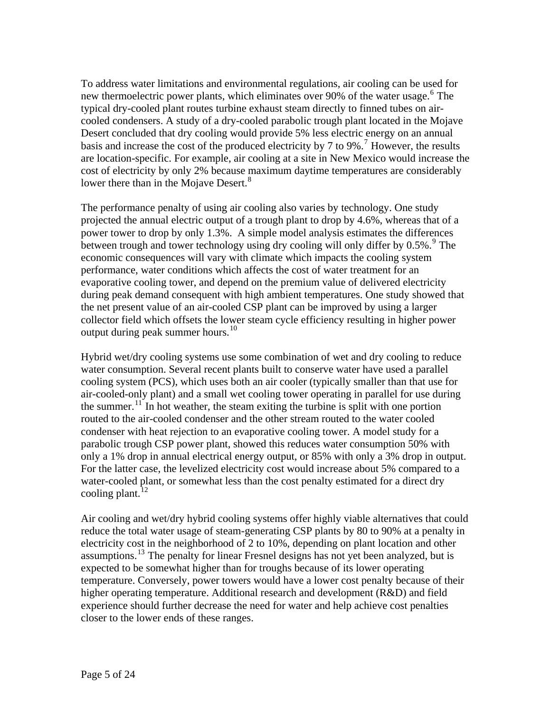To address water limitations and environmental regulations, air cooling can be used for new thermoelectric power plants, which eliminates over 90% of the water usage.<sup>6</sup> The are location-specific. For example, air cooling at a site in New Mexico would increase the cost of electricity by only 2% because maximum daytime temperatures are considerably lower there than in the Mojave Desert.<sup>8</sup> typical dry-cooled plant routes turbine exhaust steam directly to finned tubes on aircooled condensers. A study of a dry-cooled parabolic trough plant located in the Mojave Desert concluded that dry cooling would provide 5% less electric energy on an annual basis and increase the cost of the produced electricity by [7](#page-24-1) to 9%.<sup>7</sup> However, the results

power tower to drop by only 1.3%. A simple model analysis estimates the differences the net present value of an air-cooled CSP plant can be improved by using a larger ollector field which offsets the lower steam cycle efficiency resulting in higher power c The performance penalty of using air cooling also varies by technology. One study projected the annual electric output of a trough plant to drop by 4.6%, whereas that of a between trough and tower technology using dry cooling will only differ by  $0.5\%$ . <sup>[9](#page-24-1)</sup> The economic consequences will vary with climate which impacts the cooling system performance, water conditions which affects the cost of water treatment for an evaporative cooling tower, and depend on the premium value of delivered electricity during peak demand consequent with high ambient temperatures. One study showed that output during peak summer hours.<sup>[10](#page-24-1)</sup>

cooling system (PCS), which uses both an air cooler (typically smaller than that use for air-cooled-only plant) and a small wet cooling tower operating in parallel for use during only a 1% drop in annual electrical energy output, or 85% with only a 3% drop in output. For the latter case, the levelized electricity cost would increase about 5% compared to a Hybrid wet/dry cooling systems use some combination of wet and dry cooling to reduce water consumption. Several recent plants built to conserve water have used a parallel the summer.<sup>[11](#page-24-1)</sup> In hot weather, the steam exiting the turbine is split with one portion routed to the air-cooled condenser and the other stream routed to the water cooled condenser with heat rejection to an evaporative cooling tower. A model study for a parabolic trough CSP power plant, showed this reduces water consumption 50% with water-cooled plant, or somewhat less than the cost penalty estimated for a direct dry cooling plant.<sup>[12](#page-24-1)</sup>

reduce the total water usage of steam-generating CSP plants by 80 to 90% at a penalty in electricity cost in the neighborhood of 2 to 10%, depending on plant location and other assumptions.<sup>[13](#page-24-1)</sup> The penalty for linear Fresnel designs has not yet been analyzed, but is closer to the lower ends of these ranges. Air cooling and wet/dry hybrid cooling systems offer highly viable alternatives that could expected to be somewhat higher than for troughs because of its lower operating temperature. Conversely, power towers would have a lower cost penalty because of their higher operating temperature. Additional research and development (R&D) and field experience should further decrease the need for water and help achieve cost penalties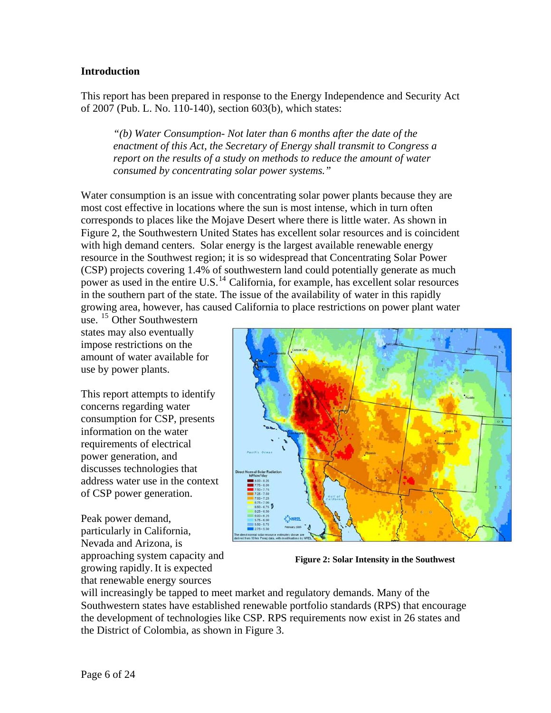## **Introduction**

This report has been prepared in response to the Energy Independence and Security Act of 2007 (Pub. L. No. 110-140), section 603(b), which states:

*"(b) Water Consumption- Not later than 6 months after the date of the enactment of this Act, the Secretary of Energy shall transmit to Congress a report on the results of a study on methods to reduce the amount of water consumed by concentrating solar power systems."* 

Water consumption is an issue with concentrating solar power plants because they are most cost effective in locations where the sun is most intense, which in turn often Figure 2, the Southwestern United States has excellent solar resources and is coincident with high demand centers. Solar energy is the largest available renewable energy resource in the Southwest region; it is so widespread that Concentrating Solar Power (CSP) projects covering 1.4% of southwestern land could potentially generate as much power as used in the entire U.S.<sup>14</sup> California, for example, has excellent solar resources in the southern part of the state. The issue of the availability of water in this rapidly growing area, however, has caused California to place restrictions on power plant water corresponds to places like the Mojave Desert where there is little water. As shown in

amount of water available for use.  $15$  Other Southwestern states may also eventually impose restrictions on the use by power plants.

address water use in the context This report attempts to identify concerns regarding water consumption for CSP, presents information on the water requirements of electrical power generation, and discusses technologies that of CSP power generation.

Peak power demand, particularly in California, Nevada and Arizona, is approaching system capacity and growing rapidly.It is expected that renewable energy sources



**Figure 2, Solar Intensity in the Southwest Figure 2: Solar Intensity in the Southwest** 

the development of technologies like CSP. RPS requirements now exist in 26 states and the District of Colombia, as shown in Figure 3. will increasingly be tapped to meet market and regulatory demands. Many of the Southwestern states have established renewable portfolio standards (RPS) that encourage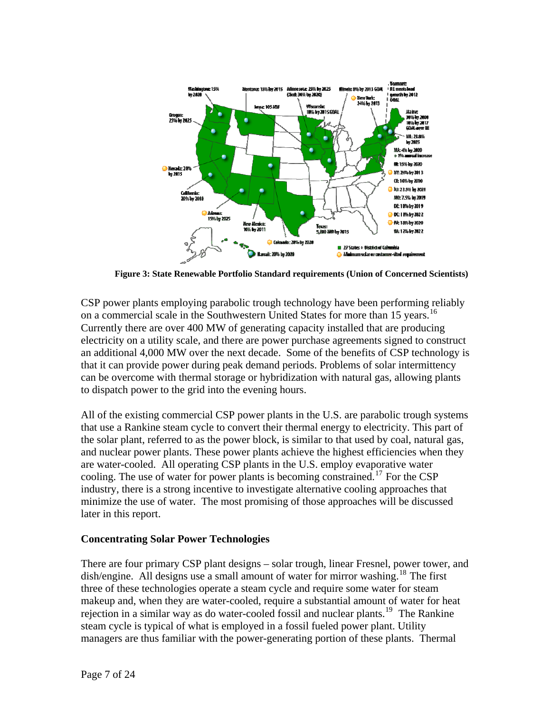

**Figure 3: State Renewable Portfolio Standard requirements (Union of Concerned Scientists)** 

CSP power plants employing parabolic trough technology have been performing reliably on a commercial scale in the Southwestern United States for more than 15 years.<sup>16</sup> Currently there are over 400 MW of generating capacity installed that are producing electricity on a utility scale, and there are power purchase agreements signed to construct an additional 4,000 MW over the next decade. Some of the benefits of CSP technology is that it can provide power during peak demand periods. Problems of solar intermittency can be overcome with thermal storage or hybridization with natural gas, allowing plants to dispatch power to the grid into the evening hours.

All of the existing commercial CSP power plants in the U.S. are parabolic trough systems the solar plant, referred to as the power block, is similar to that used by coal, natural gas, and nuclear power plants. These power plants achieve the highest efficiencies when they that use a Rankine steam cycle to convert their thermal energy to electricity. This part of are water-cooled. All operating CSP plants in the U.S. employ evaporative water cooling. The use of water for power plants is becoming constrained.<sup>[17](#page-24-1)</sup> For the CSP industry, there is a strong incentive to investigate alternative cooling approaches that minimize the use of water. The most promising of those approaches will be discussed later in this report.

## **Concentrating Solar Power Technologies**

There are four primary CSP plant designs - solar trough, linear Fresnel, power tower, and dish/engine. All designs use a small amount of water for mirror washing.<sup>18</sup> The first managers are thus familiar with the power-generating portion of these plants. Thermal three of these technologies operate a steam cycle and require some water for steam makeup and, when they are water-cooled, require a substantial amount of water for heat rejection in a similar way as do water-cooled fossil and nuclear plants.<sup>[19](#page-24-1)</sup> The Rankine steam cycle is typical of what is employed in a fossil fueled power plant. Utility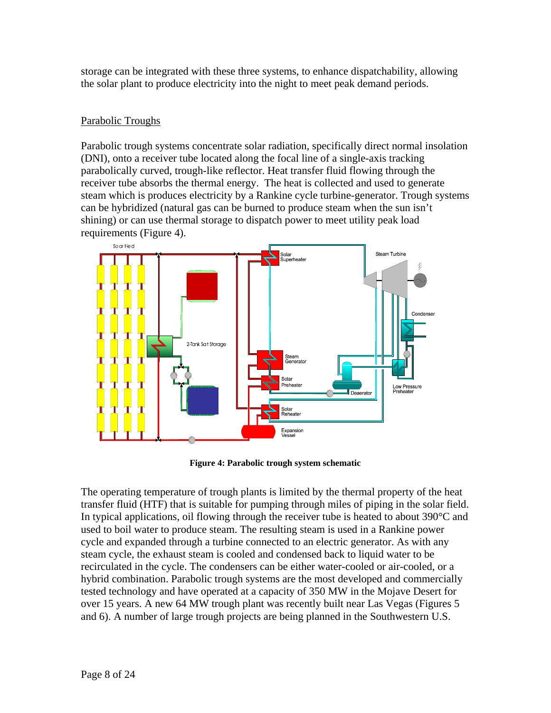storage can be integrated with these three systems, to enhance dispatchability, allowing the solar plant to produce electricity into the night to meet peak demand periods.

## Parabolic Troughs

Parabolic trough systems concentrate solar radiation, specifically direct normal insolation steam which is produces electricity by a Rankine cycle turbine-generator. Trough systems (DNI), onto a receiver tube located along the focal line of a single-axis tracking parabolically curved, trough-like reflector. Heat transfer fluid flowing through the receiver tube absorbs the thermal energy. The heat is collected and used to generate can be hybridized (natural gas can be burned to produce steam when the sun isn't shining) or can use thermal storage to dispatch power to meet utility peak load requirements (Figure 4).



**Figure 4: Parabolic trough system schematic** 

transfer fluid (HTF) that is suitable for pumping through miles of piping in the solar field. hybrid combination. Parabolic trough systems are the most developed and commercially tested technology and have operated at a capacity of 350 MW in the Mojave Desert for over 15 years. A new 64 MW trough plant was recently built near Las Vegas (Figures 5 and 6). A number of large trough projects are being planned in the Southwestern U.S. The operating temperature of trough plants is limited by the thermal property of the heat In typical applications, oil flowing through the receiver tube is heated to about 390°C and used to boil water to produce steam. The resulting steam is used in a Rankine power cycle and expanded through a turbine connected to an electric generator. As with any steam cycle, the exhaust steam is cooled and condensed back to liquid water to be recirculated in the cycle. The condensers can be either water-cooled or air-cooled, or a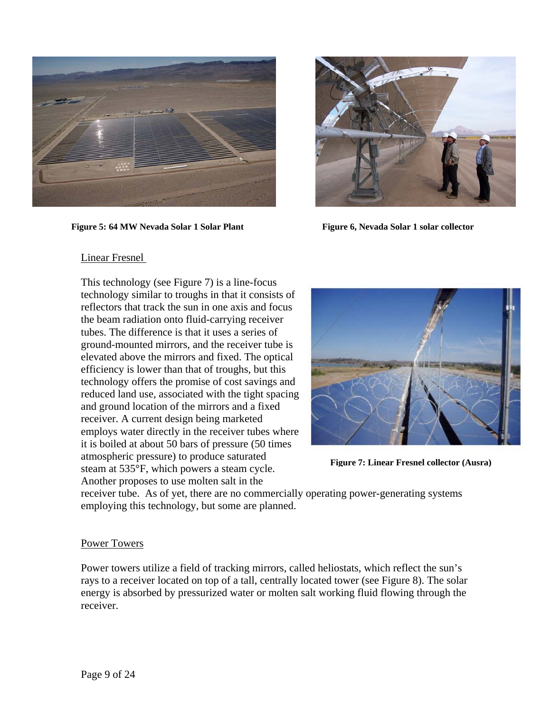

**Figure 5: 64 MW Nevada Solar 1 Solar Plant Figure 6, Nevada Solar 1 solar collector**



#### Linear Fresnel

This technology (see Figure 7) is a line-focus technology similar to troughs in that it consists of reflectors that track the sun in one axis and focus the beam radiation onto fluid-carrying receiver tubes. The difference is that it uses a series of ground-mounted mirrors, and the receive r tube is elevated above the mirrors and fixed. The optical efficiency is lower than that of troughs, but this technology offers the promise of cost savings and reduced land use, associated with the tight spacing and ground location of the mirrors and a fixed receiver. A current design being marketed employs water directly in the receiver tubes where it is boiled at about 50 bars of pressure (50 times tmospheric pressure) to produce saturated atmospheric pressure) to produce saturated<br>steam at 535°F, which powers a steam cycle. Another proposes to use molten salt in the



**Figure 7: Linear Fresnel collector (Ausra)** 

receiver tube. As of yet, there are no commercially operating power-generating systems employing this technology, but some are planned.

### Power Towers

Power towers utilize a field of tracking mirrors, called heliostats, which reflect the sun's rays to a receiver located on top of a tall, centrally located tower (see Figure 8). The solar energy is absorbed by pressurized water or molten salt working fluid flowing through the receiver.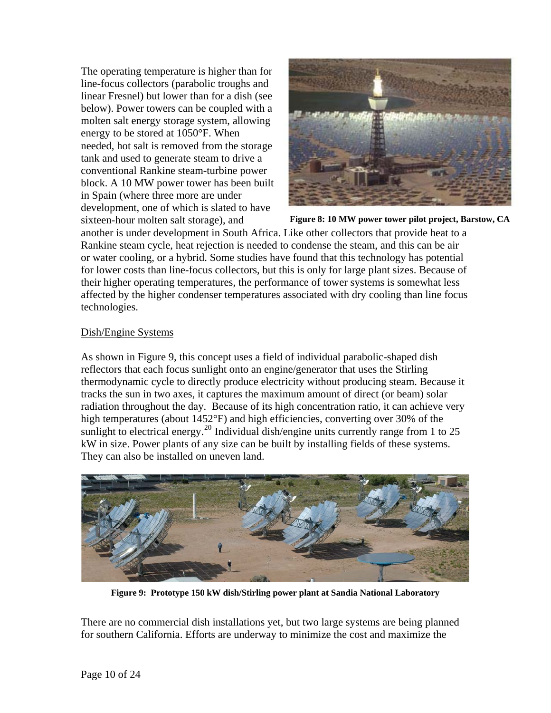The operating temperature is higher than for linear Fresnel) but lower than for a dish (see needed, hot salt is removed from the storage block. A 10 MW power tower has been built line-focus collectors (parabolic troughs and below). Power towers can be coupled with a molten salt energy storage system, allowing energy to be stored at 1050°F. When tank and used to generate steam to drive a conventional Rankine steam-turbine power in Spain (where three more are under development, one of which is slated to have sixteen-hour molten salt storage), and



**Figure 8: 10 MW power tower pilot project, Barstow, CA**

another is under development in South Africa. Like other collectors that provide heat to a or water cooling, or a hybrid. Some studies have found that this technology has potential their higher operating temperatures, the performance of tower systems is somewhat less ffected by the higher condenser temperatures associated with dry cooling than line focus a technologies. Rankine steam cycle, heat rejection is needed to condense the steam, and this can be air for lower costs than line-focus collectors, but this is only for large plant sizes. Because of

## Dish/Engine Systems

As shown in Figure 9, this concept uses a field of individual parabolic-shaped dish reflectors that each focus sunlight onto an engine/generator that uses the Stirling thermodynamic cycle to directly produce electricity without producing steam. Because it tracks the sun in two axes, it captures the maximum amount of direct (or beam) solar radiation throughout the day. Because of its high concentration ratio, it can achieve very high temperatures (about 1452°F) and high efficiencies, converting over 30% of the sunlight to electrical energy.<sup>20</sup> Individual dish/engine units currently range from 1 to 25 kW in size. Power plants of any size can be built by installing fields of these system s. They can also be installed on uneven land.



**Figure 9: Prototype 150 kW dish/Stirling power plant at Sandia National Laboratory** 

There are no commercial dish installations yet, but two large systems are being planned for southern C alifornia. Efforts are underway to minimize the cost and maximize the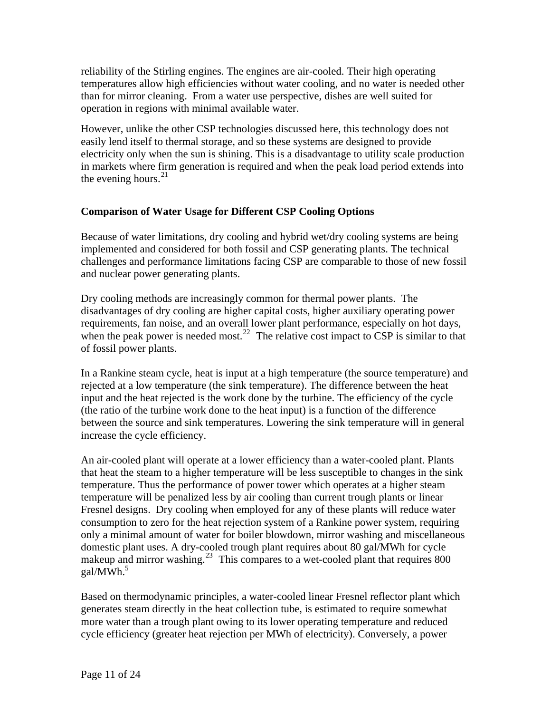reliability of the Stirling engines. The engines are air-cooled. Their high operating temperatures allow high efficiencies without water cooling, and no water is needed other than for mirror cleaning. From a water use perspective, dishes are well suited for operation in regions with minimal available water.

However, unlike the other CSP technologies discussed here, this technology does not easily lend itself to thermal storage, and so these systems are designed to provide electricity only when the sun is shining. This is a disadvantage to utility scale production in markets where firm generation is required and when the peak load period extends into the evening hours. $21$ 

## **Comparison of Water Usage for Different CSP Cooling Options**

Because of water limitations, dry cooling and hybrid wet/dry cooling systems are being implemented and considered for both fossil and CSP generating plants. The technical challenges and performance limitations facing CSP are comparable to those of new fossil and nuclear power generating plants.

Dry cooling methods are increasingly common for thermal power plants. The disadvantages of dry cooling are higher capital costs, higher auxiliary operating power requirements, fan noise, and an overall lower plant performance, especially on hot days, when the peak power is needed most.<sup>22</sup> The relative cost impact to CSP is similar to that of foss il power plants.

input and the heat rejected is the work done by the turbine. The efficiency of the cycle between the source and sink temperatures. Lowering the sink temperature will in general In a Rankine steam cycle, heat is input at a high temperature (the source temperature) and rejected at a low temperature (the sink temperature). The difference between the heat (the ratio of the turbine work done to the heat input) is a function of the difference increase the cycle efficiency.

Fresnel designs. Dry cooling when employed for any of these plants will reduce water consumption to zero for the heat rejection system of a Rankine power system, requiring only a minimal amount of water for boiler blowdown, mirror washing and miscellaneous domestic plant uses. A dry-cooled trough plant requires about 80 gal/MWh for cycle An air-cooled plant will operate at a lower efficiency than a water-cooled plant. Plants that heat the steam to a higher temperature will be less susceptible to changes in the sink temperature. Thus the performance of power tower which operates at a higher steam temperature will be penalized less by air cooling than current trough plants or linear makeup and mirror washing.<sup>23</sup> This compares to a wet-cooled plant that requires 800 gal/MWh.<sup>5</sup>

generates steam directly in the heat collection tube, is estimated to require somewhat more water than a trough plant owing to its lower operating temperature and reduced Based on thermodynamic principles, a water-cooled linear Fresnel reflector plant which cycle efficiency (greater heat rejection per MWh of electricity). Conversely, a power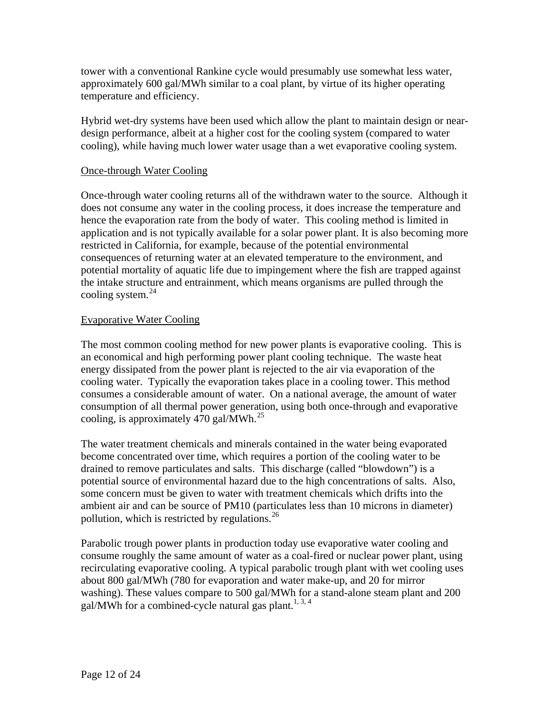tower with a conventional Rankine cycle would presumably use somewhat less water, approximately 600 gal/MWh similar to a coal plant, by virtue of its higher operating temperature and efficiency.

Hybrid wet-dry systems have been used which allow the plant to maintain design or neardesign performance, albeit at a higher cost for the cooling system (compared to water cooling), while having much lower water usage than a wet evaporative cooling system.

## Once-through Water Cooling

Once-through water cooling returns all of the withdrawn water to the source. Although it application and is not typically available for a solar power plant. It is also becoming more does not consume any water in the cooling process, it does increase the temperature and hence the evaporation rate from the body of water. This cooling method is limited in restricted in California, for example, because of the potential environmental consequences of returning water at an elevated temperature to the environment, and potential mortality of aquatic life due to impingement where the fish are trapped against the intake structure and entrainment, which means organisms are pulled through the cooling system. $^{24}$  $^{24}$  $^{24}$ 

## **Evaporative Water Cooling**

consumption of all thermal power generation, using both once-through and evaporative cooling, is approximately  $470$  gal/MWh.<sup>25</sup> The most common cooling method for new power plants is evaporative cooling. This is an economical and high performing power plant cooling technique. The waste heat energy dissipated from the power plant is rejected to the air via evaporation of the cooling water. Typically the evaporation takes place in a cooling tower. This method consumes a considerable amount of water. On a national average, the amount of water

potential source of environmental hazard due to the high concentrations of salts. Also, some concern must be given to water with treatment chemicals which drifts into the ambient air and can be source of PM10 (particulates less than 10 microns in diameter) The water treatment chemicals and minerals contained in the water being evaporated become concentrated over time, which requires a portion of the cooling water to be drained to remove particulates and salts. This discharge (called "blowdown") is a pollution, which is restricted by regulations.  $26$ 

recirculating evaporative cooling. A typical parabolic trough plant with wet cooling uses Parabolic trough power plants in production today use evaporative water cooling and consume roughly the same amount of water as a coal-fired or nuclear power plant, using about 800 gal/MWh (780 for evaporation and water make-up, and 20 for mirror washing). These values compare to 500 gal/MWh for a stand-alone steam plant and 200 gal/MWh for a combined-cycle natural gas plant.<sup>1, 3, 4</sup>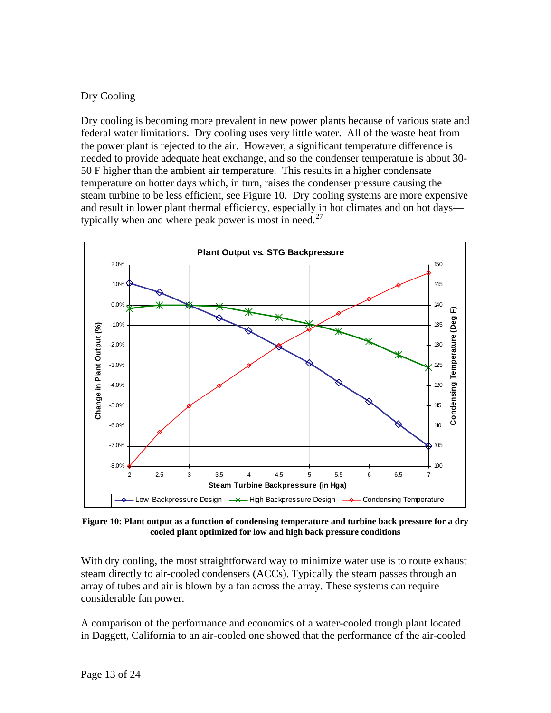## Dry Cooling

Dry cooling is becoming more prevalent in new power plants because of various state and federal water limitations. Dry cooling uses very little water. All of the waste heat from the power plant is rejected to the air. However, a significant temperature difference is needed to provide adequate heat exchange, and so the condenser temperature is about 30 - 50 F higher than the ambient air temperature . This results in a higher condensate temperature on hotter days which, in turn, raises the condenser pressure causing the steam turbine to be less efficient, see Figure 10. Dry cooling systems are more expensive and result in lower plant thermal efficiency, especially in hot climates and on hot days— typically when and where peak power is most in need.<sup>[27](#page-24-1)</sup>



**Figure 10: Plant output as a function of condensing temperature and turbine back pressure for a dry cooled plant optimized for low and high back pressure conditions** 

With dry cooling, the most straightforward way to minimize water use is to route exhaust steam directly to air-cooled condensers (ACCs). Typically the steam passes through an array of tubes and air is blown by a fan across the array. These systems can require considerable fan power.

A comparison of the performance and economics of a water-cooled trough plant located in Daggett, California to an air-cooled one showed that the performance of the air-cooled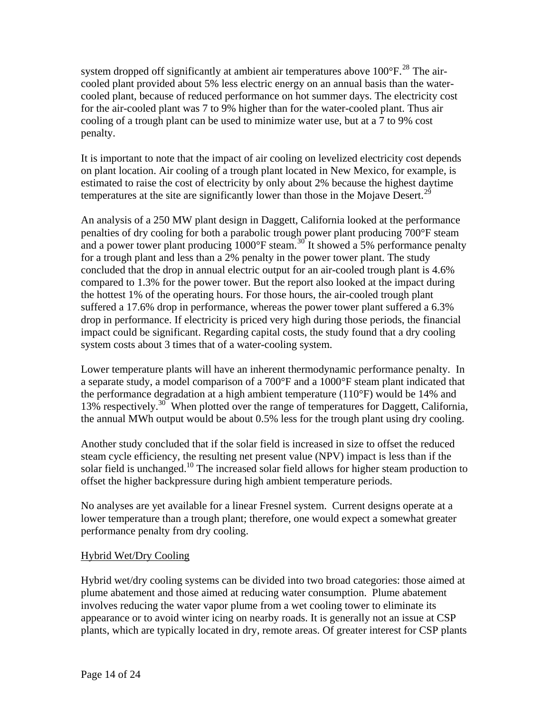system dropped off significantly at ambient air temperatures above  $100^{\circ}$ F.<sup>28</sup> The aircooled plant provided about 5% less electric energy on an annual basis than the watercooled plant, because of reduced performance on hot summer days. The electricity cost for the air-cooled plant was 7 to 9% higher than for the water-cooled plant. Thus air cooling of a trough plant can be used to minimize water use, but at a 7 to 9% cost penalty.

It is important to note that the impact of air cooling on levelized electricity cost depends on plant location. Air cooling of a trough plant located in New Mexico, for example, is estimated to raise the cost of electricity by only about 2% because the highest daytime temperatures at the site are significantly lower than those in the Mojave Desert.<sup>29</sup>

An analysis of a 250 MW plant design in Daggett, California looked at the performance penalties of dry cooling for both a parabolic trough power plant producing 700°F steam and a power tower plant producing  $1000^{\circ}$ F steam.<sup>30</sup> It showed a 5% performance penalty for a trough plant and less than a 2% penalty in the power tower plant. The study concluded that the drop in annual electric output for an air-cooled trough plant is 4.6% compared to 1.3% for the power tower. But the report also looked at the impact during the hottest 1% of the operating hours. For those hours, the air-cooled trough plant suffered a 17.6% drop in performance, whereas the power tower plant suffered a 6.3% drop in performance. If electricity is priced very high during those periods, the financial impact could be significant. Regarding capital costs, the study found that a dry cooling system costs about 3 times that of a water-cooling system.

Lower temperature plants will have an inherent thermodynamic performance penalty. In 13% respectively.<sup>30</sup> When plotted over the range of temperatures for Daggett, California, the annual MWh output would be about 0.5% less for the trough plant using dry cooling. a separate study, a model comparison of a 700°F and a 1000°F steam plant indicated that the performance degradation at a high ambient temperature (110°F) would be 14% and

Another study concluded that if the solar field is increased in size to offset the reduced steam cycle efficiency, the resulting net present value (NPV) impact is less than if the solar field is unchanged.<sup>10</sup> The increased solar field allows for higher steam production to offset the higher backpressure during high ambient temperature periods.

lower temperature than a trough plant; therefore, one would expect a somewhat greater No analyses are yet available for a linear Fresnel system. Current designs operate at a performance penalty from dry cooling.

## Hybrid Wet/Dry Cooling

Hybrid wet/dry cooling systems can be divided into two broad categories: those aimed a t plume abatement and those aimed at reducing water consumption. Plume abatement involves reducing the water vapor plume from a wet cooling tower to eliminate its appearance or to avoid winter icing on nearby roads. It is generally not an issue at CSP plants, which are typically located in dry, remote areas. Of greater interest for CSP plants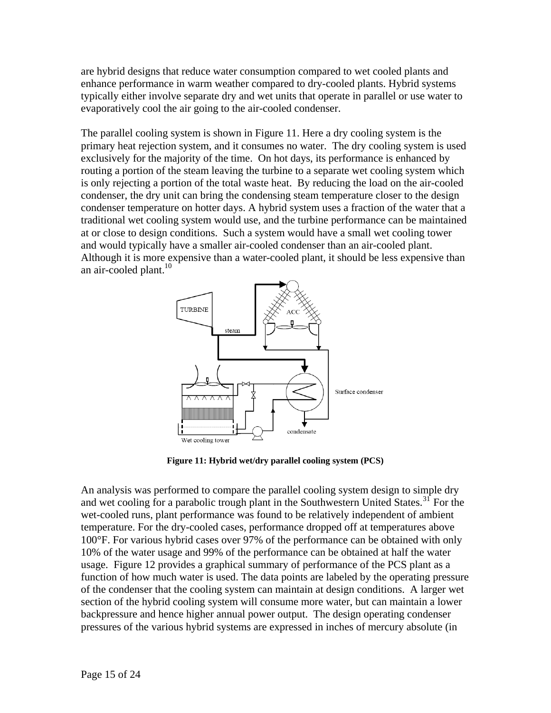are hybrid designs that reduce water consumption compared to wet cooled plants and enhance performance in warm weather compared to dry-cooled plants. Hybrid sys tems typically either involve separate dry and wet units that operate in parallel or use water to evaporatively cool the air going to the air-cooled condenser.

The parallel cooling system is shown in Figure 11. Here a dry cooling system is the primary heat rejection system, and it consumes no water. The dry cooling system is used exclusively for the majority of the time. On hot days, its performance is enhanced by routing a portion of the steam leaving the turbine to a separ ate wet cooling system which is only rejecting a portion of the total waste heat. By reducing the load on the air-cooled traditional wet cooling system would use, and the turbine performance can be maintained Although it is more expensive than a water-cooled plant, it should be less expensive than condenser, the dry unit can bring the condensing steam temperature closer to the design condenser temperature on hotter days. A hybrid system uses a fraction of the water that a at or close to design conditions. Such a system would have a small wet cooling tower and would typically have a smaller air-cooled condenser than an air-cooled plant. an air-cooled plant. $10$ 



**Figure 11: Hybrid wet/dry parallel cooling system (PCS)** 

An analysis was performed to compare the parallel cooling system design to simple dry and wet cooling for a parabolic trough plant in the Southwestern United States.<sup>31</sup> For the wet-cooled runs, plant performance was found to be relatively independent of ambient temperature. For the dry-cooled cases, performance dropped off at temperatures above 100°F. For various hybrid cases over 97% of the performance can be obtained with only 10% of the water usage and 99% of the performance can be obtained at half the water usage. Figure 12 provides a graphical summary of performance of the PCS plant as a function of how much water is used. The data points are labeled by the operating pressure of the condenser that the cooling system can maintain at design conditions. A larger wet section of the hybrid cooling system will consume more water, but can maintain a lower backpressure and hence higher annual power output. The design operating condenser pressures of the various hybrid systems are expressed in inches of mercury absolute (in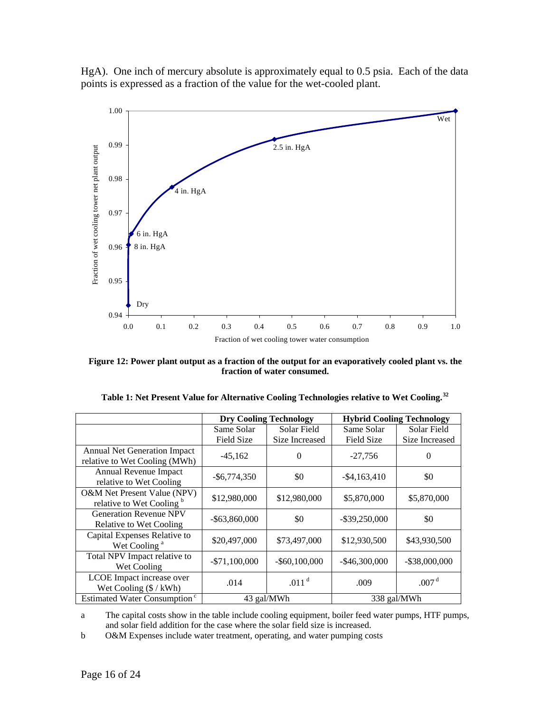



**Figure 12: Power plant output as a fraction of the output for an evaporatively cooled plant vs. the fraction of water consumed.** 

|                                                                      |                   | <b>Dry Cooling Technology</b> | <b>Hybrid Cooling Technology</b> |                   |  |  |  |  |
|----------------------------------------------------------------------|-------------------|-------------------------------|----------------------------------|-------------------|--|--|--|--|
|                                                                      | Same Solar        | Solar Field                   | Same Solar                       | Solar Field       |  |  |  |  |
|                                                                      | <b>Field Size</b> | Size Increased                | <b>Field Size</b>                | Size Increased    |  |  |  |  |
| <b>Annual Net Generation Impact</b><br>relative to Wet Cooling (MWh) | $-45,162$         | $\Omega$                      | $-27,756$                        | $\theta$          |  |  |  |  |
| Annual Revenue Impact<br>relative to Wet Cooling                     | $-$ \$6,774,350   | \$0                           | $-$ \$4,163,410                  | \$0               |  |  |  |  |
| O&M Net Present Value (NPV)<br>relative to Wet Cooling <sup>b</sup>  | \$12,980,000      | \$12,980,000                  | \$5,870,000                      | \$5,870,000       |  |  |  |  |
| <b>Generation Revenue NPV</b><br>Relative to Wet Cooling             | $-$ \$63,860,000  | \$0                           | $-$ \$39,250,000                 | \$0               |  |  |  |  |
| Capital Expenses Relative to<br>Wet Cooling <sup>a</sup>             | \$20,497,000      | \$73,497,000                  | \$12,930,500                     | \$43,930,500      |  |  |  |  |
| Total NPV Impact relative to<br>Wet Cooling                          | $-$71,100,000$    | $-$ \$60,100,000              | $-$ \$46,300,000                 | $-$ \$38,000,000  |  |  |  |  |
| LCOE Impact increase over<br>Wet Cooling $(\frac{6}{kWh})$           | .014              | .011 <sup>d</sup>             | .009                             | .007 <sup>d</sup> |  |  |  |  |
| Estimated Water Consumption <sup>c</sup>                             |                   | 43 gal/MWh                    | 338 gal/MWh                      |                   |  |  |  |  |

| Table 1: Net Present Value for Alternative Cooling Technologies relative to Wet Cooling. <sup>32</sup> |  |  |  |  |
|--------------------------------------------------------------------------------------------------------|--|--|--|--|
|                                                                                                        |  |  |  |  |

a The capital costs show in the table include cooling equipment, boiler feed water pumps, HTF pumps, and solar field addition for the case where the solar field size is increased.

b O&M Expenses include water treatment, operating, and water pumping costs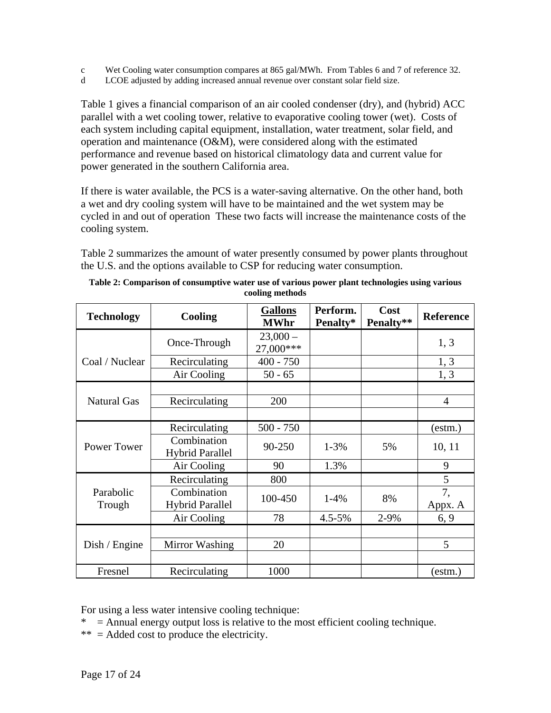- c Wet Cooling water consumption compares at 865 gal/MWh. From Tables 6 and 7 of reference 32.
- d LCOE adjusted by adding increased annual revenue over constant solar field size.

Table 1 gives a financial comparison of an air cooled condenser (dry), and (hybrid) ACC parallel with a wet cooling tower, relative to evaporative cooling tower (wet). Costs of each system including capital equipment, installation, water treatment, solar field, and operation and maintenance (O&M), were considered along with the estimated performance and revenue based on historical climatology data and current value for power generated in the southern California area.

If there is water available, the PCS is a water-saving alternative. On the other hand, both a wet and dry cooling system will have to be maintained and the wet system may be cycled in and out of operation These two facts will increase the maintenance costs of the cooling system.

Table 2 summarizes the amount of water presently consumed by power plants throughout the U.S. and the options available to CSP for reducing water consumption.

| <b>Technology</b>   | <b>Cooling</b>                        | <b>Gallons</b><br><b>MWhr</b> | Perform.<br>Penalty* | Cost<br>Penalty** | <b>Reference</b> |
|---------------------|---------------------------------------|-------------------------------|----------------------|-------------------|------------------|
|                     | Once-Through                          | $23,000-$<br>27,000***        |                      |                   | 1, 3             |
| Coal / Nuclear      | Recirculating                         | $400 - 750$                   |                      |                   | 1, 3             |
|                     | Air Cooling                           | $50 - 65$                     |                      |                   | 1, 3             |
|                     |                                       |                               |                      |                   |                  |
| <b>Natural Gas</b>  | Recirculating                         | 200                           |                      |                   | 4                |
|                     |                                       |                               |                      |                   |                  |
|                     | Recirculating                         | $500 - 750$                   |                      |                   | (estm.)          |
| Power Tower         | Combination<br><b>Hybrid Parallel</b> | 90-250                        | $1 - 3%$             | 5%                | 10, 11           |
|                     | Air Cooling                           | 90                            | 1.3%                 |                   | 9                |
|                     | Recirculating                         | 800                           |                      |                   | 5                |
| Parabolic<br>Trough | Combination<br><b>Hybrid Parallel</b> | 100-450                       | $1-4%$               | 8%                | 7,<br>Appx. A    |
|                     | Air Cooling                           | 78                            | $4.5 - 5%$           | 2-9%              | 6, 9             |
|                     |                                       |                               |                      |                   |                  |
| Dish / Engine       | Mirror Washing                        | 20                            |                      |                   | 5                |
|                     |                                       |                               |                      |                   |                  |
| Fresnel             | Recirculating                         | 1000                          |                      |                   | (estm.)          |

| Table 2: Comparison of consumptive water use of various power plant technologies using various |
|------------------------------------------------------------------------------------------------|
| cooling methods                                                                                |

For using a less water intensive cooling technique:

- $*$  = Annual energy output loss is relative to the most efficient cooling technique.
- $***$  = Added cost to produce the electricity.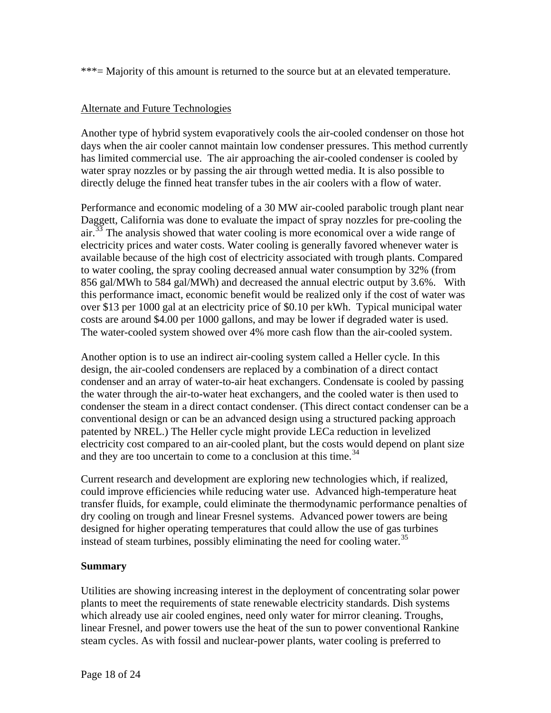\*\*\*= Majority of this amount is returned to the source but at an elevated temperature.

## Alternate and Future Technologies

Another type of hybrid system evaporatively cools the air-cooled condenser on those hot days when the air cooler cannot maintain low condenser pressures. This method currently has limited commercial use. The air approaching the air-cooled condenser is cooled by water spray nozzles or by passing the air through wetted media. It is also possible to directly deluge the finned heat transfer tubes in the air coolers with a flow of water.

Performance and economic modeling of a 30 MW air-cooled parabolic trough plant near  $air<sup>33</sup>$ . The analysis showed that water cooling is more economical over a wide range of e lectricity prices and water costs. Water cooling is generally favored whenever water is available because of the high co st of electricity associated with trough plants. Compared to water cooling, the spray cooling decreased annual water consumption by 32% (from 856 gal/MWh to 584 gal/MWh) and decreased the annual electric output by 3.6%. With this performance imact, economic benefit would be realized only if the cost of water was over \$13 per 1000 gal at an electricity price of \$0.10 per kWh. Typical municipal water costs are around \$4.00 per 1000 gallons, and may be lower if degraded water is used. The water-cooled system showed over 4% more cash flow than the air-cooled system. Daggett, California was done to evaluate the impact of spray nozzles for pre-cooling the

Another option is to use an indirect air-cooling system called a Heller cycle. In this design, the air-cooled condensers are replaced by a combination of a direct contact condenser and an array of water-to-air heat exchangers. Condensate is cooled by passing the water through the air-to-water heat exchangers, and the cooled water is then used to condenser the steam in a direct contact condenser. (This direct contact condenser can be a conventional design or can be an advanced design using a structured packing approach patented by NREL.) The Heller cycle might provide LECa reduction in levelized electricity cost compared to an air-cooled plant, but the costs would depend on plant size and they are too uncertain to come to a conclusion at this time.<sup>34</sup>

Current research and development are exploring new technologies which, if realized, could improve efficiencies while reducing water use. Advanced high-temperature heat transfer fluids, for example, could eliminate the thermodynamic performance penalties of dry cooling on trough and linear Fresnel systems. Advanced power towers are being designed for higher operating temperatures that could allow the use of gas turbines instead of steam turbines, possibly eliminating the need for cooling water.<sup>35</sup>

### **Summary**

Utilities are showing increasing interest in the deployment of concentrating solar power plants to meet the requirements of state renewable electricity standards. Dish systems linear Fresnel, and power towers use the heat of the sun to power conventional Rankine steam cycles. As with fossil and nuclear-power plants, water cooling is preferred to which already use air cooled engines, need only water for mirror cleaning. Troughs,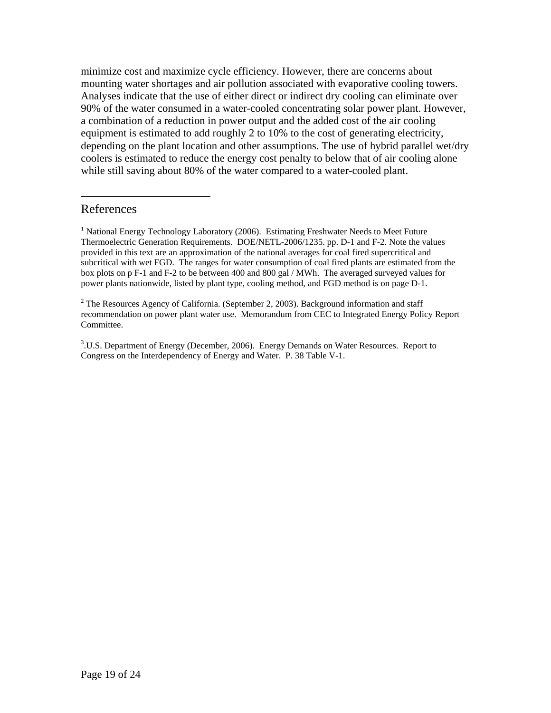minimize cost and maximize cycle efficiency. However, there are concerns about mounting water shortages and air pollution associated with evaporative cooling towers. depending on the plant location and other assumptions. The use of hybrid parallel wet/dry coolers is estimated to reduce the energy cost penalty to below that of air cooling alone Analyses indicate that the use of either direct or indirect dry cooling can eliminate over 90% of the water consumed in a water-cooled concentrating solar power plant. However, a combination of a reduction in power output and the added cost of the air cooling equipment is estimated to add roughly 2 to 10% to the cost of generating electricity, while still saving about 80% of the water compared to a water-cooled plant.

## References

 $\overline{a}$ 

<sup>1</sup> National Energy Technology Laboratory (2006). Estimating Freshwater Needs to Meet Future Thermoelectric Generation Requirements. DOE/NETL-2006/1235. pp. D-1 and F-2. Note the values provided in this text are an approximation of the national averages for coal fired supercritical and subcritical with wet FGD. The ranges for water consumption of coal fired plants are estimated from the box plots on p F-1 and F-2 to be between 400 and 800 gal / MWh. The averaged surveyed values for power plants nationwide, listed by plant type, cooling method, and FGD method is on page D-1.

<sup>2</sup> The Resources Agency of California. (September 2, 2003). Background information and staff recommendation on power plant water use. Memorandum from CEC to Integrated Energy Policy Re port Committee.

<sup>3</sup>.U.S. Department of Energy (December, 2006). Energy Demands on Water Resources. Report to Congress on the Interdependency of Energy and Water. P. 38 Table V-1.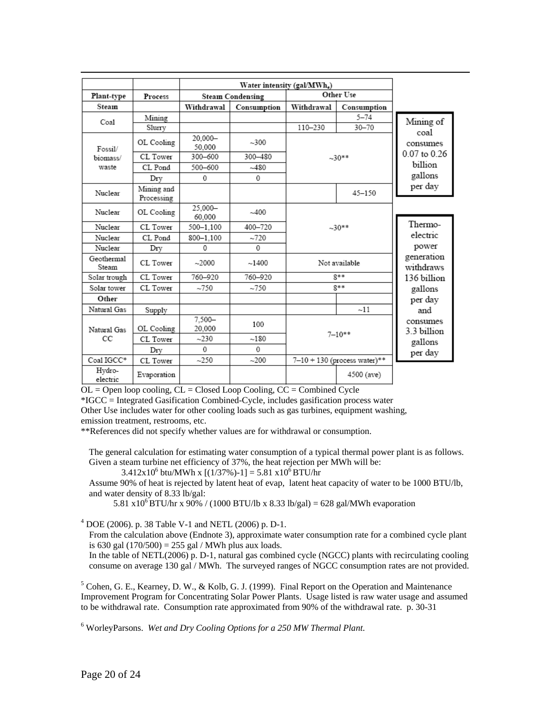|                     |                          |                     |             | Water intensity (gal/MWh.) |                                  |                         |  |  |
|---------------------|--------------------------|---------------------|-------------|----------------------------|----------------------------------|-------------------------|--|--|
| Plant-type          | Process                  | Other Use           |             |                            | <b>Steam Condensing</b>          |                         |  |  |
| Steam               |                          | Withdrawal          | Consumption | Withdrawal                 | Consumption                      |                         |  |  |
| Coal                | Mining                   |                     |             |                            | $5 - 74$                         | Mining of               |  |  |
|                     | Slurry                   |                     |             | 110-230                    | $30 - 70$                        | coal                    |  |  |
| Fossil/             | OL Cooling               | 20.000-<br>50.000   | $-300$      |                            |                                  | consumes                |  |  |
| biomass/            | CL Tower                 | 300-600             | 300-480     |                            | $-30**$                          | $0.07$ to $0.26$        |  |  |
| waste               | CL Pond                  | $500 - 600$         | $-480$      |                            |                                  | billion                 |  |  |
|                     | Dry                      | 0                   | 0           |                            |                                  | gallons                 |  |  |
| Nuclear             | Mining and<br>Processing |                     |             |                            | $45 - 150$                       | per day                 |  |  |
| Nuclear             | OL Cooling               | 25.000-<br>60.000   | $-400$      |                            |                                  |                         |  |  |
| Nuclear             | CL Tower                 | 500-1.100           | 400-720     |                            | $-30**$                          | Thermo-                 |  |  |
| Nuclear             | CL Pond                  | 800-1.100           | $-720$      |                            |                                  | electric                |  |  |
| Nuclear             | Drv                      | 0                   | $\Omega$    |                            |                                  | power                   |  |  |
| Geothermal<br>Steam | CL Tower                 | $-2000$             | ~1400       |                            | Not available                    | generation<br>withdraws |  |  |
| Solar trough        | CL Tower                 | 760-920             | 760-920     |                            | $8**$                            | 136 billion             |  |  |
| Solar tower         | CL Tower                 | $-750$              | $-750$      |                            | $8**$                            | gallons                 |  |  |
| Other               |                          |                     |             |                            |                                  | per day                 |  |  |
| Natural Gas         | Supply                   |                     |             |                            | $-11$                            | and                     |  |  |
| Natural Gas         | OL Cooling               | $7.500 -$<br>20.000 | 100         | $7 - 10**$                 |                                  | consumes<br>3.3 billion |  |  |
| СC                  | CL Tower                 | $-230$              | $-180$      |                            |                                  | gallons                 |  |  |
|                     | Drv                      | $\Omega$            | $\Omega$    |                            |                                  | per day                 |  |  |
| Coal IGCC*          | CL Tower                 | $-250$              | $-200$      |                            | $7 - 10 + 130$ (process water)** |                         |  |  |
| Hvdro-<br>electric  | Evaporation              |                     |             |                            | 4500 (ave)                       |                         |  |  |

 $OL = Open loop cooling, CL = Closed Loop Cooling, CC = Combined Cycle$ 

\*IGCC = Integrated Gasification Combined-Cycle, includes gasification process water

Other Use includes water for other cooling loads such as gas turbines, equipment washing, emission treatment, restrooms, etc.

\*\*References did not specify whether values are for withdrawal or consumption.

The general calculation for estimating water consumption of a typical thermal power plant is as follows. Given a steam turbine net efficiency of 37%, the heat rejection per MWh will be:

 $3.412x10^6$  btu/MWh x [(1/37%)-1] = 5.81 x10<sup>6</sup> BTU/hr

Assume 90% of heat is rejected by latent heat of evap, latent heat capacity of water to be 1000 BTU/lb, and water density of 8.33 lb/gal:

5.81 x10<sup>6</sup> BTU/hr x 90% / (1000 BTU/lb x 8.33 lb/gal) = 628 gal/MWh evaporation

4 DOE (2006). p. 38 Table V-1 and NETL (2006) p. D-1.

From the calculation above (Endnote 3), approximate water consumption rate for a combined cycle plant is 630 gal  $(170/500) = 255$  gal / MWh plus aux loads.

In the table of NETL(2006) p. D-1, natural gas combined cycle (NGCC) plants with recirculating cooling consume on average 130 gal / MWh. The surveyed ranges of NGCC consumption rates are not provided.

 $<sup>5</sup>$  Cohen, G. E., Kearney, D. W., & Kolb, G. J. (1999). Final Report on the Operation and Maintenance</sup> Improvement Program for Concentrating Solar Power Plants. Usage listed is raw water usage and assumed to be withdrawal rate. Consumption rate approximated from 90% of the withdrawal rate. p. 30-31

6 WorleyParsons. *Wet and Dry Cooling Options for a 250 MW Thermal Plant*.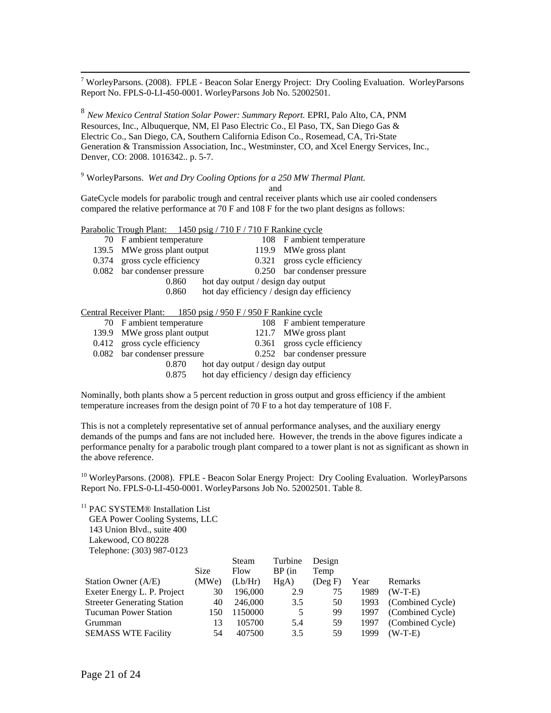<sup>7</sup> WorleyParsons. (2008). FPLE - Beacon Solar Energy Project: Dry Cooling Evaluation. WorleyParsons Report No. FPLS-0-LI-450-0001. WorleyParsons Job No. 52002501.

<sup>8</sup> *New Mexico Central Station Solar Power: Summary Report. EPRI, Palo Alto, CA, PNM* Resources, Inc., Albuquerque, NM, El Paso Electric Co., El Paso, TX, San Diego Gas & El ectric Co., San Diego, CA, Southern California Edison Co., Rosemead, CA, Tri-State Generation & Transmission Association, Inc., Westminster, CO, and Xcel Energy Services, Inc., De nver, C O: 2008. 1016342.. p. 5-7.

9 WorleyParsons. *Wet and Dry Coo ling Options for a 250 MW Thermal Plant.*

and

GateCycle models for parabolic trough and central receiver plants which use air cooled condensers compared the relative performance at  $70$  F and  $108$  F for the two plant designs as follows:

Parabolic Trough Plant: 1450 psig / 710 F / 710 F Rankine cycle

| 70 F ambient temperature     |                                    |       | 108 F ambient temperature                  |
|------------------------------|------------------------------------|-------|--------------------------------------------|
| 139.5 MWe gross plant output |                                    |       | 119.9 MWe gross plant                      |
| 0.374 gross cycle efficiency |                                    | 0.321 | gross cycle efficiency                     |
| 0.082 bar condenser pressure |                                    |       | 0.250 bar condenser pressure               |
| 0.860                        | hot day output / design day output |       |                                            |
| 0.860                        |                                    |       | hot day efficiency / design day efficiency |
|                              |                                    |       |                                            |

#### Central Receiver Plant: 1850 psig / 950 F / 950 F Rankine cycle

|  | 70 F ambient temperature     |                                    | 108 F ambient temperature                  |
|--|------------------------------|------------------------------------|--------------------------------------------|
|  | 139.9 MWe gross plant output |                                    | 121.7 MWe gross plant                      |
|  | 0.412 gross cycle efficiency |                                    | 0.361 gross cycle efficiency               |
|  | 0.082 bar condenser pressure |                                    | 0.252 bar condenser pressure               |
|  | 0.870                        | hot day output / design day output |                                            |
|  | 0.875                        |                                    | hot day efficiency / design day efficiency |
|  |                              |                                    |                                            |

Nominally, both plants show a 5 percent reduction in gross output and gross efficiency if the ambient temperature increases from the design point of  $70 \text{ F}$  to a hot day temperature of  $108 \text{ F}$ .

This is not a completely representative set of annual performance analyses, and the auxiliary energy demands of the pumps and fans are not included here. However, the trends in the above figures indicate a performance penalty for a parabolic trough plant compared to a tower plant is not as significant as shown in the above reference.

<sup>10</sup> WorleyParsons. (2008). FPLE - Beacon Solar Energy Project: Dry Cooling Evaluation. WorleyParsons Report No. FPLS-0-LI-450-0001. WorleyParsons Job No. 52002501. Table 8.

<sup>11</sup> PAC SYSTEM® Installation List GEA Power Cooling Systems, LLC 143 Union Blvd., suite 400 Lakewood, CO 80228 Telephone: (303) 987-0123

|                                    |             | Steam   | Turbine  | Design        |      |                       |
|------------------------------------|-------------|---------|----------|---------------|------|-----------------------|
|                                    | <b>Size</b> | Flow    | $BP$ (in | Temp          |      |                       |
| Station Owner (A/E)                | (MWe)       | (Lb/Hr) | HgA)     | $($ Deg F $)$ | Year | Remarks               |
| Exeter Energy L. P. Project        | 30          | 196,000 | 2.9      | 75            | 1989 | $(W-T-E)$             |
| <b>Streeter Generating Station</b> | 40          | 246,000 | 3.5      | 50            |      | 1993 (Combined Cycle) |
| <b>Tucuman Power Station</b>       | 150         | 1150000 | 5        | 99            |      | 1997 (Combined Cycle) |
| Grumman                            | 13          | 105700  | 5.4      | 59            | 1997 | (Combined Cycle)      |
| <b>SEMASS WTE Facility</b>         | 54          | 407500  | 3.5      | 59            | 1999 | $(W-T-E)$             |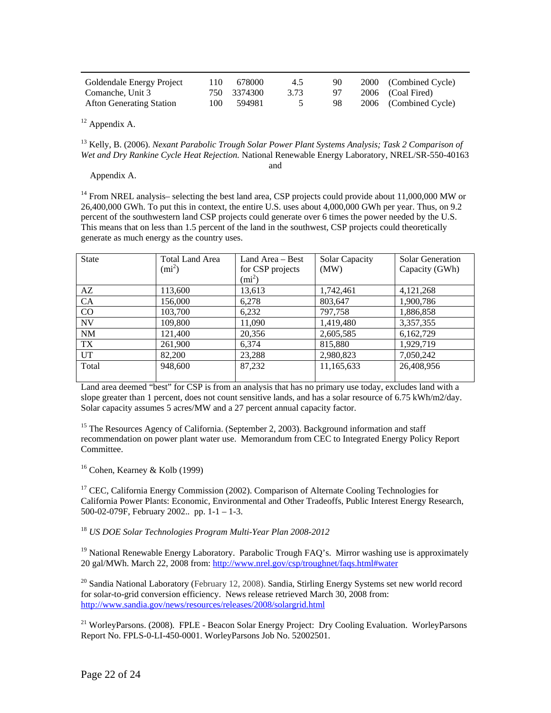| Goldendale Energy Project       | 110 | 678000      | 4.5  | 90 | 2000 (Combined Cycle) |
|---------------------------------|-----|-------------|------|----|-----------------------|
| Comanche, Unit 3                |     | 750 3374300 | 3.73 | 97 | 2006 (Coal Fired)     |
| <b>Afton Generating Station</b> | 100 | 594981      |      | 98 | 2006 (Combined Cycle) |

<sup>12</sup> Appendix A.

<sup>13</sup> Kelly, B. (2006). *Nexant Parabolic Trough Solar Power Plant Systems Analysis; Task 2 Comparison of* Wet and Dry Rankine Cycle Heat Rejection. National Renewable Energy Laboratory, NREL/SR-550-40163 and

Appendix A.

<sup>14</sup> From NREL analysis– selecting the best land area, CSP projects could provide about 11,000,000 MW or  $26,400,000$  GWh. To put this in context, the entire U.S. uses about  $4,000,000$  GWh per year. Thus, on  $9.2$ percent of the southwestern land CSP projects could generate over 6 times the power needed by the U.S. This means that on less than 1.5 percent of the land in the southwest, CSP projects could theoretically generate as much energy as the country uses.

| <b>State</b> | <b>Total Land Area</b> | Land Area $-$ Best | Solar Capacity | Solar Generation |
|--------------|------------------------|--------------------|----------------|------------------|
|              | $(mi^2)$               | for CSP projects   | (MW)           | Capacity (GWh)   |
|              |                        | $(mi^2)$           |                |                  |
| AZ           | 113,600                | 13,613             | 1,742,461      | 4, 121, 268      |
| CA           | 156,000                | 6,278              | 803,647        | 1,900,786        |
| CO           | 103,700                | 6,232              | 797,758        | 1,886,858        |
| <b>NV</b>    | 109,800                | 11,090             | 1,419,480      | 3,357,355        |
| <b>NM</b>    | 121,400                | 20,356             | 2,605,585      | 6,162,729        |
| TX           | 261,900                | 6,374              | 815,880        | 1,929,719        |
| <b>UT</b>    | 82,200                 | 23,288             | 2,980,823      | 7,050,242        |
| Total        | 948,600                | 87,232             | 11,165,633     | 26,408,956       |
|              |                        |                    |                |                  |

Land area deemed "best" for CSP is from an analysis that has no primary use today, excludes land with a slope greater than 1 percent, does not count sensitive lands, and has a solar resource of 6.75 kWh/m2/day. Solar capacity assumes 5 acres/MW and a 27 percent annual capacity factor.

<sup>15</sup> The Resources Agency of California. (September 2, 2003). Background information and staff recommendation on power plant water use. Memorandum from CEC to Integrated Energy Policy Report Committee.

 $16$  Cohen, Kearney & Kolb (1999)

 $17$  CEC, California Energy Commission (2002). Comparison of Alternate Cooling Technologies for California Power Plants: Economic, Environmental and Other Tradeoffs, Public Interest Energy Research,  $500-02-079$ F, February 2002.. pp. 1-1 – 1-3.

<sup>18</sup> US DOE Solar Technologies Program Multi-Year Plan 2008-2012

<sup>19</sup> National Renewable Energy Laboratory. Parabolic Trough FAQ's. Mirror washing use is approximately 20 gal/MWh. March 22, 2008 from: http://www.nrel.gov/csp/troughnet/faqs.html#water

<sup>20</sup> Sandia National Laboratory (February 12, 2008). Sandia, Stirling Energy Systems set new world record for solar-to-grid conversion efficiency. News release retrieved March 30, 2008 from: http://www.sandia.gov/news/resources/releases/2008/solargrid.html

<sup>21</sup> WorleyParsons. (2008). FPLE - Beacon Solar Energy Project: Dry Cooling Evaluation. WorleyParsons Report No. FPLS-0-LI-450-0001. WorleyParsons Job No. 52002501.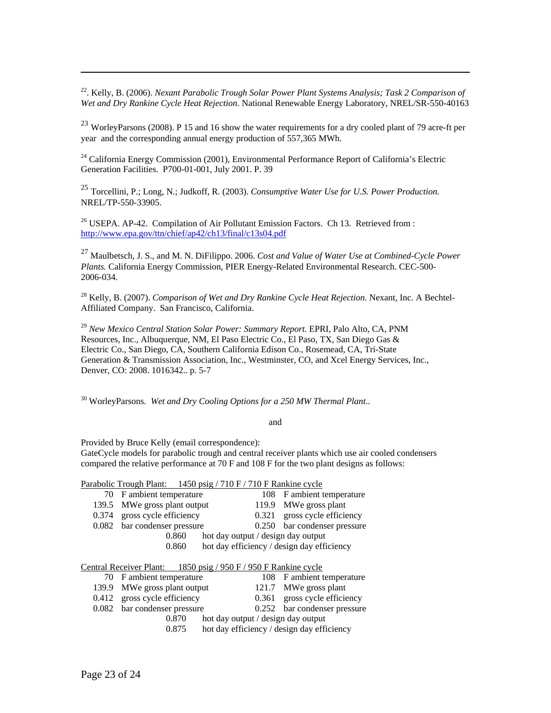Wet and Dry Rankine Cycle Heat Rejection. National Renewable Energy Laboratory, NREL/SR-550-40163 22. Kelly, B. (2006). *Nexant Parabolic Trough Solar Power Plant Systems Analysis; Task 2 Comparison of* 

<sup>23</sup> WorleyParsons (2008). P 15 and 16 show the water requirements for a dry cooled plant of 79 acre-ft per year and the corresponding annual energy production of 557,365 MWh.

<sup>24</sup> California Energy Commission (2001), Environmental Performance Report of California's Electric Generation Facilities. P700-01-001, July 2001. P. 39

<sup>25</sup> Torcellini, P.; Long, N.; Judkoff, R. (2003). *Consumptive Water Use for U.S. Power Production.* NREL/TP-550-33905.

 $26$  USEPA. AP-42. Compilation of Air Pollutant Emission Factors. Ch 13. Retrieved from : http://www.epa.gov/ttn/chief/ap42/ch13/final/c13s04.pdf

27 Maulbetsch, J. S., and M. N. DiFilippo. 2006. *Cost and Value of Water Use at Combined-Cycle Power Plants.* California Energy Commission, PIER Energy-Related Environmental Research. CEC-500- 2006-034.

<sup>28</sup> Kelly, B. (2007). *Comparison of Wet and Dry Rankine Cycle Heat Rejection*. Nexant, Inc. A Bechtel-Affiliated Company. San Francisco, California.

<sup>29</sup> New Mexico Central Station Solar Power: Summary Report. EPRI, Palo Alto, CA, PNM Resources, Inc., Albuquerque, NM, El Paso Electric Co., El Paso, TX, San Diego Gas & Denver, CO: 2008. 1016342.. p. 5-7 Electric Co., San Diego, CA, Southern California Edison Co., Rosemead, CA, Tri-State Generation & Transmission Association, Inc., Westminster, CO, and Xcel Energy Services, Inc.,

<sup>30</sup> WorleyParsons. *Wet and Dry Cooling Options for a 250 MW Thermal Plant..* 

and

compared the relative performance at  $70 \text{ F}$  and  $108 \text{ F}$  for the two plant designs as follows: Provided by Bruce Kelly (email correspondence): GateCycle models for parabolic trough and central receiver plants which use air cooled condensers

#### Parabolic Trough Plant: 1450 psig / 710 F / 710 F Rankine cycle

|  | 70 F ambient temperature     |                                    | 108 F ambient temperature                  |
|--|------------------------------|------------------------------------|--------------------------------------------|
|  | 139.5 MWe gross plant output |                                    | 119.9 MWe gross plant                      |
|  | 0.374 gross cycle efficiency |                                    | 0.321 gross cycle efficiency               |
|  | 0.082 bar condenser pressure |                                    | 0.250 bar condenser pressure               |
|  | 0.860                        | hot day output / design day output |                                            |
|  | 0.860                        |                                    | hot day efficiency / design day efficiency |
|  |                              |                                    |                                            |
|  |                              | . <del>.</del>                     |                                            |

#### Central Receiver Plant: 1850 psig / 950 F / 950 F Rankine cycle

|  | 70 F ambient temperature     |                                    |  | 108 F ambient temperature                  |  |  |
|--|------------------------------|------------------------------------|--|--------------------------------------------|--|--|
|  | 139.9 MWe gross plant output |                                    |  | 121.7 MWe gross plant                      |  |  |
|  | 0.412 gross cycle efficiency |                                    |  | 0.361 gross cycle efficiency               |  |  |
|  | 0.082 bar condenser pressure |                                    |  | 0.252 bar condenser pressure               |  |  |
|  | 0.870                        | hot day output / design day output |  |                                            |  |  |
|  | 0.875                        |                                    |  | hot day efficiency / design day efficiency |  |  |
|  |                              |                                    |  |                                            |  |  |

 $\overline{a}$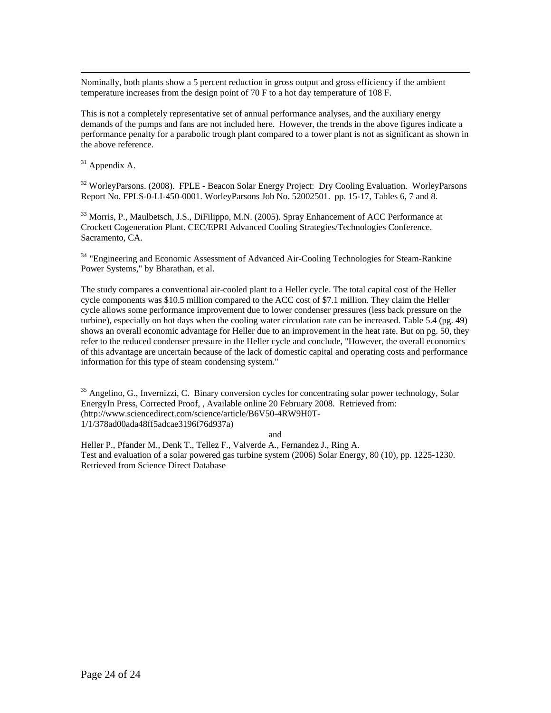<span id="page-24-1"></span>Nominally, both plants show a 5 percent reduction in gross output and gross efficiency if the ambient temperature increases from the design point of  $70 \text{ F}$  to a hot day temperature of  $108 \text{ F}$ .

This is not a completely representative set of annual performance analyses, and the auxiliary energy demands of the pumps and fans are not included here. However, the trends in the above figures indicate a performance penalty for a parabolic trough plant compared to a tower plant is not as significant as shown in the above reference.

 $31$  Appendix A.

<sup>32</sup> WorleyParsons. (2008). FPLE - Beacon Solar Energy Project: Dry Cooling Evaluation. WorleyParsons Report No. FPLS-0-LI-450-0001. WorleyParsons Job No. 52002501. pp. 15-17, Tables 6, 7 and 8.

<span id="page-24-0"></span><sup>33</sup> Morris, P., Maulbetsch, J.S., DiFilippo, M.N. (2005). Spray Enhancement of ACC Performance at Crockett Cogeneration Plant. CEC/EPRI Advanced Cooling Strategies/Technologies Conference. Sacramento, CA.

<sup>34</sup> "Engineering and Economic Assessment of Advanced Air-Cooling Technologies for Steam-Rankine Power Systems," by Bharathan, et al.

The study compares a conventional air-cooled plant to a Heller cycle. The total capital cost of the Heller cycle components was \$10.5 million compared to the ACC cost of \$7.1 million. They claim the Heller cycle allows some performance improvement due to lower condenser pressures (less back pressure on the turbine), especially on hot days when the cooling water circulation rate can be increased. Table 5.4 (pg. 49) shows an overall economic advantage for Heller due to an improvement in the heat rate. But on pg. 50, they refer to the reduced condenser pressure in the Heller cycle and conclude, "However, the overall economics of this advantage are uncertain because of the lack of domestic capital and operating costs and performance information for this type of steam condensing system."

EnergyIn Press, Corrected Proof,, Available online 20 February 2008. Retrieved from: (http://www.sciencedirect.com/science/article/B6V50-4RW9H0T-8ff5adcae3196f76d937a) 1/1/378ad00ada4  $35$  Angelino, G., Invernizzi, C. Binary conversion cycles for concentrating solar power technology, Solar

and

Test and evaluation of a solar powered gas turbine system (2006) Solar Energy, 80 (10), pp. 1225-1230. Retrieved from Science Direct Database Heller P., Pfander M., Denk T., Tellez F., Valverde A., Fernandez J., Ring A.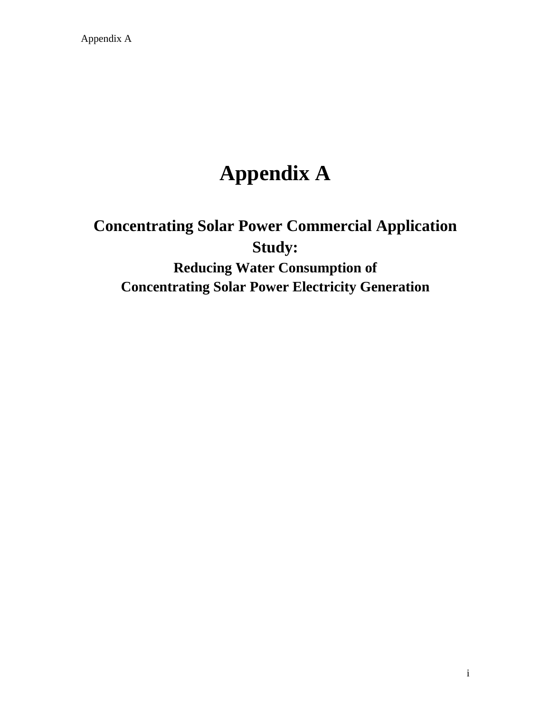Appendix A

# **Appendix A**

# **Concentrating Solar Power Commercial Application Study: Reducing Water Consumption of Concentrating Solar Power Electricity Generation**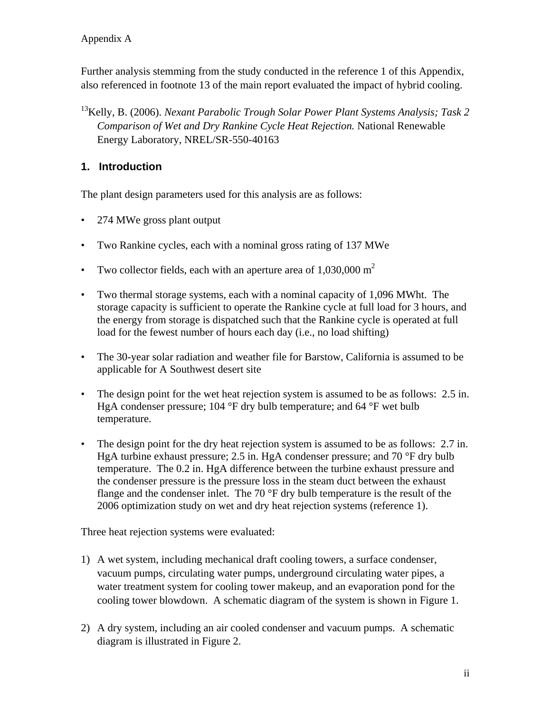Further analysis stemming from the study conducted in the reference 1 of this Appendix, also referenced in footnote 13 of the main report evaluated the impact of hybrid cooling.

13Kelly, B. (2006). *Nexant Parabolic Trough Solar Power Plant Systems Analysis; Task 2 Comparison of Wet and Dry Rankine Cycle Heat Rejection.* National Renewable Energy Laboratory, NREL/SR-550-40163

## **1. Introduction**

The plant design parameters used for this analysis are as follows:

- 274 MWe gross plant output
- Two Rankine cycles, each with a nominal gross rating of 137 MWe
- Two collector fields, each with an aperture area of  $1,030,000 \text{ m}^2$
- Two thermal storage systems, each with a nominal capacity of 1,096 MWht. The storage capacity is sufficient to operate the Rankine cycle at full load for 3 hours, and the energy from storage is dispatched such that the Rankine cycle is operated at full load for the fewest number of hours each day (i.e., no load shifting)
- The 30-year solar radiation and weather file for Barstow, California is assumed to be applicable for A Southwest desert site
- The design point for the wet heat rejection system is assumed to be as follows: 2.5 in. HgA condenser pressure; 104 °F dry bulb temperature; and 64 °F wet bulb temperature.
- The design point for the dry heat rejection system is assumed to be as follows: 2.7 in. HgA turbine exhaust pressure; 2.5 in. HgA condenser pressure; and 70 °F dry bulb temperature. The 0.2 in. HgA difference between the turbine exhaust pressure and the condenser pressure is the pressure loss in the steam duct between the exhaust flange and the condenser inlet. The 70 °F dry bulb temperature is the result of the 2006 optimization study on wet and dry heat rejection systems (reference 1).

Three heat rejection systems were evaluated:

- 1) A wet system, including mechanical draft cooling towers, a surface condenser, vacuum pumps, circulating water pumps, underground circulating water pipes, a water treatment system for cooling tower makeup, and an evaporation pond for the cooling tower blowdown. A schematic diagram of the system is shown in [Figure 1.](#page-27-0)
- 2) A dry system, including an air cooled condenser and vacuum pumps. A schematic diagram is illustrated in [Figure 2.](#page-27-1)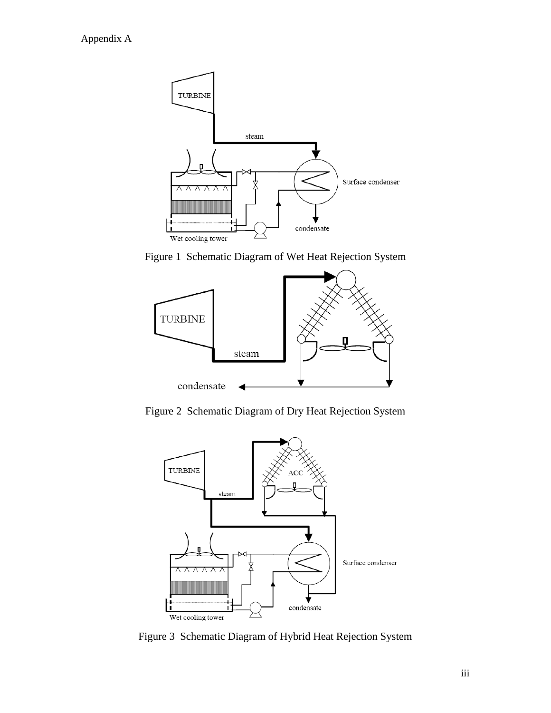

<span id="page-27-0"></span>Figure 1 Schematic Diagram of Wet Heat Rejection System



<span id="page-27-1"></span>Figure 2 Schematic Diagram of Dry Heat Rejection System



<span id="page-27-2"></span>Figure 3 Schematic Diagram of Hybrid Heat Rejection System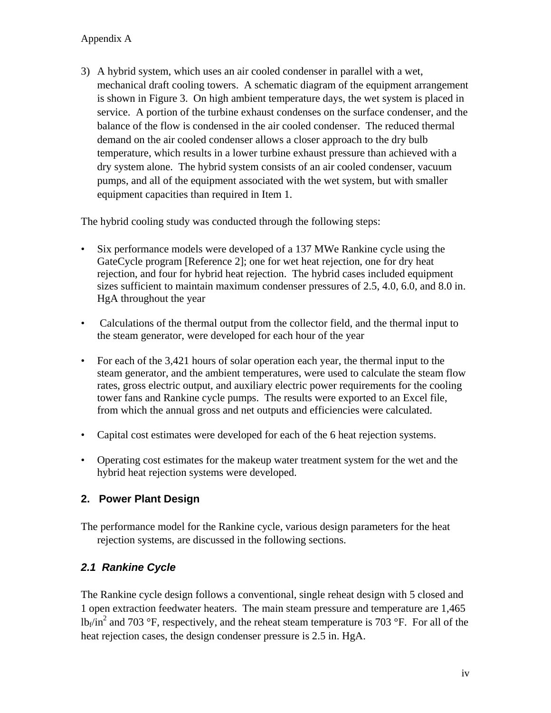3) A hybrid system, which uses an air cooled condenser in parallel with a wet, mechanical draft cooling towers. A schematic diagram of the equipment arrangement is shown in [Figure 3.](#page-27-2) On high ambient temperature days, the wet system is placed in service. A portion of the turbine exhaust condenses on the surface condenser, and the balance of the flow is condensed in the air cooled condenser. The reduced thermal demand on the air cooled condenser allows a closer approach to the dry bulb temperature, which results in a lower turbine exhaust pressure than achieved with a dry system alone. The hybrid system consists of an air cooled condenser, vacuum pumps, and all of the equipment associated with the wet system, but with smaller equipment capacities than required in Item 1.

The hybrid cooling study was conducted through the following steps:

- Six performance models were developed of a 137 MWe Rankine cycle using the GateCycle program [Reference 2]; one for wet heat rejection, one for dry heat rejection, and four for hybrid heat rejection. The hybrid cases included equipment sizes sufficient to maintain maximum condenser pressures of 2.5, 4.0, 6.0, and 8.0 in. HgA throughout the year
- Calculations of the thermal output from the collector field, and the thermal input to the steam generator, were developed for each hour of the year
- For each of the 3,421 hours of solar operation each year, the thermal input to the steam generator, and the ambient temperatures, were used to calculate the steam flow rates, gross electric output, and auxiliary electric power requirements for the cooling tower fans and Rankine cycle pumps. The results were exported to an Excel file, from which the annual gross and net outputs and efficiencies were calculated.
- Capital cost estimates were developed for each of the 6 heat rejection systems.
- Operating cost estimates for the makeup water treatment system for the wet and the hybrid heat rejection systems were developed.

## **2. Power Plant Design**

The performance model for the Rankine cycle, various design parameters for the heat rejection systems, are discussed in the following sections.

## *2.1 Rankine Cycle*

The Rankine cycle design follows a conventional, single reheat design with 5 closed and 1 open extraction feedwater heaters. The main steam pressure and temperature are 1,465  $lb_f/in^2$  and 703 °F, respectively, and the reheat steam temperature is 703 °F. For all of the heat rejection cases, the design condenser pressure is 2.5 in. HgA.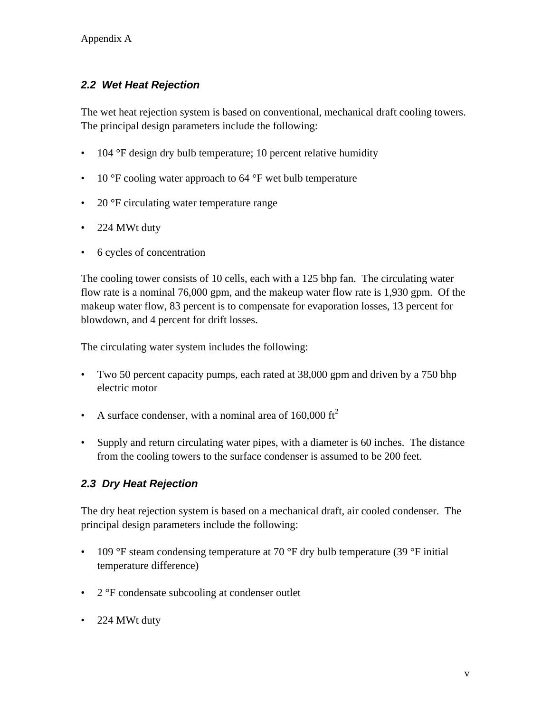## *2.2 Wet Heat Rejection*

The wet heat rejection system is based on conventional, mechanical draft cooling towers. The principal design parameters include the following:

- 104 °F design dry bulb temperature; 10 percent relative humidity
- 10 °F cooling water approach to 64 °F wet bulb temperature
- 20 °F circulating water temperature range
- 224 MWt duty
- 6 cycles of concentration

The cooling tower consists of 10 cells, each with a 125 bhp fan. The circulating water flow rate is a nominal 76,000 gpm, and the makeup water flow rate is 1,930 gpm. Of the makeup water flow, 83 percent is to compensate for evaporation losses, 13 percent for blowdown, and 4 percent for drift losses.

The circulating water system includes the following:

- Two 50 percent capacity pumps, each rated at 38,000 gpm and driven by a 750 bhp electric motor
- A surface condenser, with a nominal area of  $160,000 \text{ ft}^2$
- Supply and return circulating water pipes, with a diameter is 60 inches. The distance from the cooling towers to the surface condenser is assumed to be 200 feet.

## *2.3 Dry Heat Rejection*

The dry heat rejection system is based on a mechanical draft, air cooled condenser. The principal design parameters include the following:

- 109 °F steam condensing temperature at 70 °F dry bulb temperature (39 °F initial temperature difference)
- 2 °F condensate subcooling at condenser outlet
- 224 MWt duty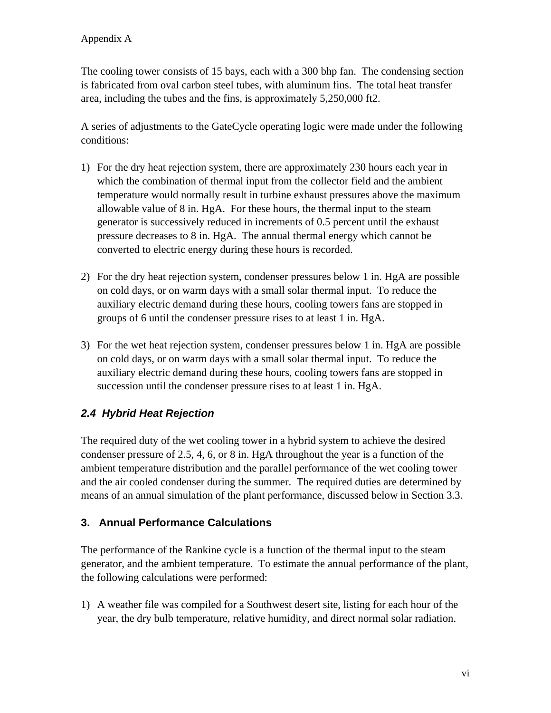The cooling tower consists of 15 bays, each with a 300 bhp fan. The condensing section is fabricated from oval carbon steel tubes, with aluminum fins. The total heat transfer area, including the tubes and the fins, is approximately 5,250,000 ft2.

A series of adjustments to the GateCycle operating logic were made under the following conditions:

- 1) For the dry heat rejection system, there are approximately 230 hours each year in which the combination of thermal input from the collector field and the ambient temperature would normally result in turbine exhaust pressures above the maximum allowable value of 8 in. HgA. For these hours, the thermal input to the steam generator is successively reduced in increments of 0.5 percent until the exhaust pressure decreases to 8 in. HgA. The annual thermal energy which cannot be converted to electric energy during these hours is recorded.
- 2) For the dry heat rejection system, condenser pressures below 1 in. HgA are possible on cold days, or on warm days with a small solar thermal input. To reduce the auxiliary electric demand during these hours, cooling towers fans are stopped in groups of 6 until the condenser pressure rises to at least 1 in. HgA.
- 3) For the wet heat rejection system, condenser pressures below 1 in. HgA are possible on cold days, or on warm days with a small solar thermal input. To reduce the auxiliary electric demand during these hours, cooling towers fans are stopped in succession until the condenser pressure rises to at least 1 in. HgA.

## *2.4 Hybrid Heat Rejection*

The required duty of the wet cooling tower in a hybrid system to achieve the desired condenser pressure of 2.5, 4, 6, or 8 in. HgA throughout the year is a function of the ambient temperature distribution and the parallel performance of the wet cooling tower and the air cooled condenser during the summer. The required duties are determined by means of an annual simulation of the plant performance, discussed below in Section 3.3.

## **3. Annual Performance Calculations**

The performance of the Rankine cycle is a function of the thermal input to the steam generator, and the ambient temperature. To estimate the annual performance of the plant, the following calculations were performed:

1) A weather file was compiled for a Southwest desert site, listing for each hour of the year, the dry bulb temperature, relative humidity, and direct normal solar radiation.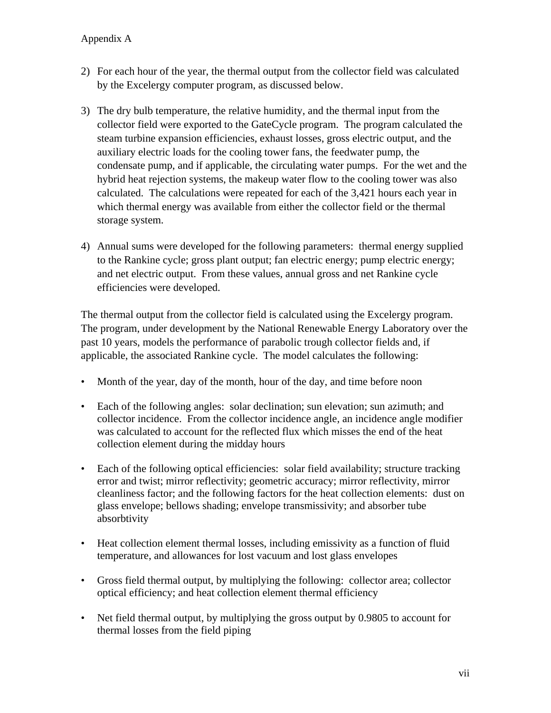- 2) For each hour of the year, the thermal output from the collector field was calculated by the Excelergy computer program, as discussed below.
- 3) The dry bulb temperature, the relative humidity, and the thermal input from the collector field were exported to the GateCycle program. The program calculated the steam turbine expansion efficiencies, exhaust losses, gross electric output, and the auxiliary electric loads for the cooling tower fans, the feedwater pump, the condensate pump, and if applicable, the circulating water pumps. For the wet and the hybrid heat rejection systems, the makeup water flow to the cooling tower was also calculated. The calculations were repeated for each of the 3,421 hours each year in which thermal energy was available from either the collector field or the thermal storage system.
- 4) Annual sums were developed for the following parameters: thermal energy supplied to the Rankine cycle; gross plant output; fan electric energy; pump electric energy; and net electric output. From these values, annual gross and net Rankine cycle efficiencies were developed.

The thermal output from the collector field is calculated using the Excelergy program. The program, under development by the National Renewable Energy Laboratory over the past 10 years, models the performance of parabolic trough collector fields and, if applicable, the associated Rankine cycle. The model calculates the following:

- Month of the year, day of the month, hour of the day, and time before noon
- Each of the following angles: solar declination; sun elevation; sun azimuth; and collector incidence. From the collector incidence angle, an incidence angle modifier was calculated to account for the reflected flux which misses the end of the heat collection element during the midday hours
- Each of the following optical efficiencies: solar field availability; structure tracking error and twist; mirror reflectivity; geometric accuracy; mirror reflectivity, mirror cleanliness factor; and the following factors for the heat collection elements: dust on glass envelope; bellows shading; envelope transmissivity; and absorber tube absorbtivity
- Heat collection element thermal losses, including emissivity as a function of fluid temperature, and allowances for lost vacuum and lost glass envelopes
- Gross field thermal output, by multiplying the following: collector area; collector optical efficiency; and heat collection element thermal efficiency
- Net field thermal output, by multiplying the gross output by 0.9805 to account for thermal losses from the field piping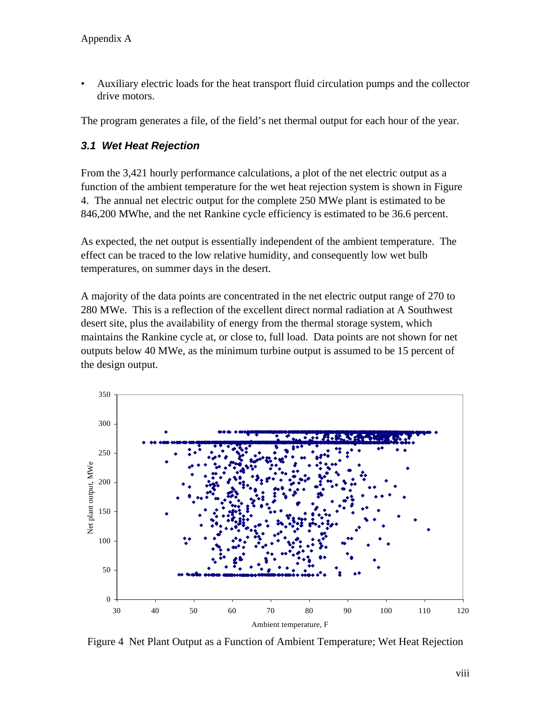• Auxiliary electric loads for the heat transport fluid circulation pumps and the collector drive motors.

The program generates a file, of the field's net thermal output for each hour of the year.

## *3.1 Wet Heat Rejection*

From the 3,421 hourly performance calculations, a plot of the net electric output as a function of the ambient temperature for the wet heat rejection system is shown in [Figure](#page-32-0)  [4](#page-32-0). The annual net electric output for the complete 250 MWe plant is estimated to be 846,200 MWhe, and the net Rankine cycle efficiency is estimated to be 36.6 percent.

As expected, the net output is essentially independent of the ambient temperature. The effect can be traced to the low relative humidity, and consequently low wet bulb temperatures, on summer days in the desert.

A majority of the data points are concentrated in the net electric output range of 270 to 280 MWe. This is a reflection of the excellent direct normal radiation at A Southwest desert site, plus the availability of energy from the thermal storage system, which maintains the Rankine cycle at, or close to, full load. Data points are not shown for net outputs below 40 MWe, as the minimum turbine output is assumed to be 15 percent of the design output.



<span id="page-32-0"></span>Figure 4 Net Plant Output as a Function of Ambient Temperature; Wet Heat Rejection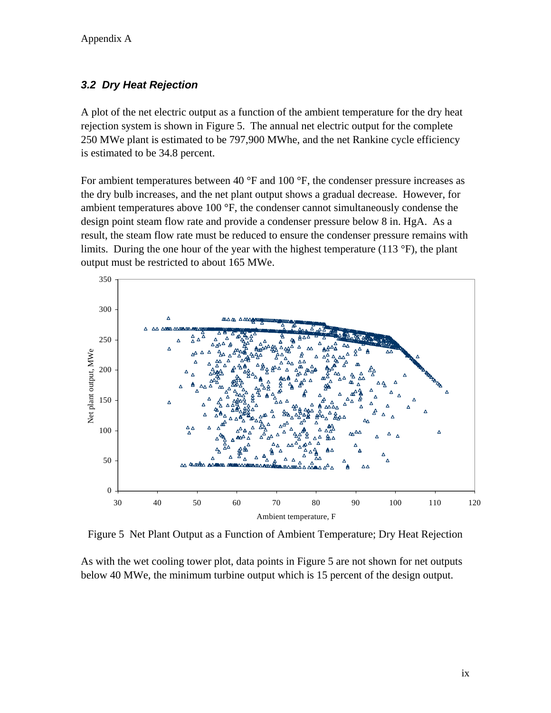## *3.2 Dry Heat Rejection*

A plot of the net electric output as a function of the ambient temperature for the dry heat rejection system is shown in [Figure 5](#page-33-0). The annual net electric output for the complete 250 MWe plant is estimated to be 797,900 MWhe, and the net Rankine cycle efficiency is estimated to be 34.8 percent.

For ambient temperatures between 40 °F and 100 °F, the condenser pressure increases as the dry bulb increases, and the net plant output shows a gradual decrease. However, for ambient temperatures above 100 °F, the condenser cannot simultaneously condense the design point steam flow rate and provide a condenser pressure below 8 in. HgA. As a result, the steam flow rate must be reduced to ensure the condenser pressure remains with limits. During the one hour of the year with the highest temperature (113 $\degree$ F), the plant output must be restricted to about 165 MWe.



Figure 5 Net Plant Output as a Function of Ambient Temperature; Dry Heat Rejection

<span id="page-33-0"></span>As with the wet cooling tower plot, data points in [Figure 5](#page-33-0) are not shown for net outputs below 40 MWe, the minimum turbine output which is 15 percent of the design output.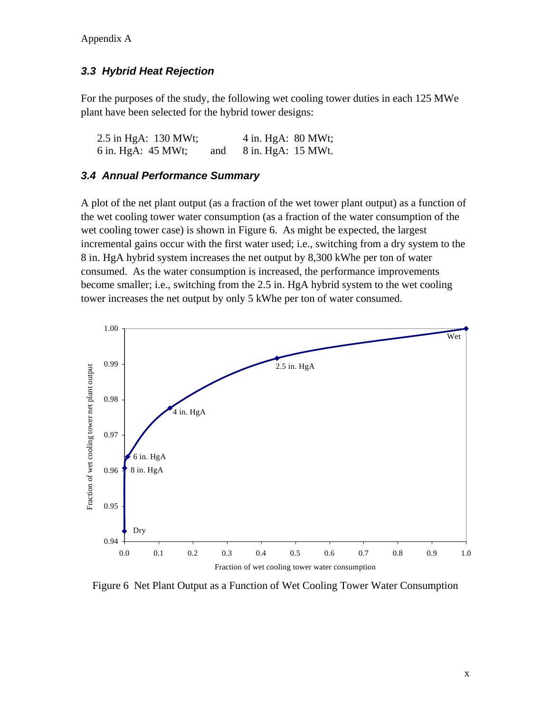## *3.3 Hybrid Heat Rejection*

For the purposes of the study, the following wet cooling tower duties in each 125 MWe plant have been selected for the hybrid tower designs:

2.5 in HgA: 130 MWt; 4 in. HgA: 80 MWt; 6 in. HgA: 45 MWt; and 8 in. HgA: 15 MWt.

## *3.4 Annual Performance Summary*

A plot of the net plant output (as a fraction of the wet tower plant output) as a function of the wet cooling tower water consumption (as a fraction of the water consumption of the wet cooling tower case) is shown in Figure 6. As might be expected, the largest incremental gains occur with the first water used; i.e., switching from a dry system to the 8 in. HgA hybrid system increases the net output by 8,300 kWhe per ton of water consumed. As the water consumption is increased, the performance improvements become smaller; i.e., switching from the 2.5 in. HgA hybrid system to the wet cooling tower increases the net output by only 5 kWhe per ton of water consumed.



Figure 6 Net Plant Output as a Function of Wet Cooling Tower Water Consumption